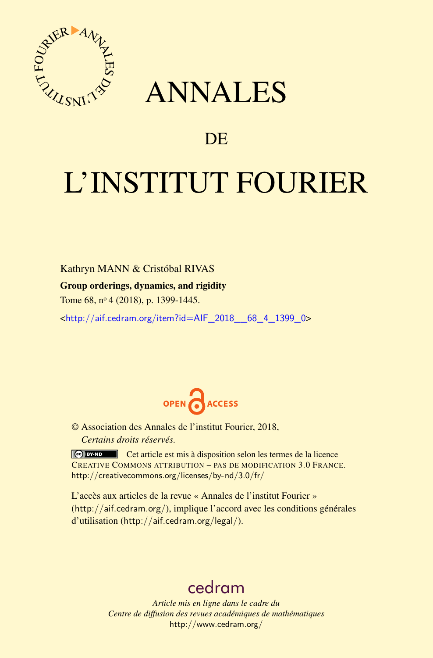

## ANNALES

### **DE**

# L'INSTITUT FOURIER

Kathryn MANN & Cristóbal RIVAS Group orderings, dynamics, and rigidity Tome 68, n<sup>o</sup> 4 (2018), p. 1399-1445.

<[http://aif.cedram.org/item?id=AIF\\_2018\\_\\_68\\_4\\_1399\\_0](http://aif.cedram.org/item?id=AIF_2018__68_4_1399_0)>



© Association des Annales de l'institut Fourier, 2018, *Certains droits réservés.*

Cet article est mis à disposition selon les termes de la licence CREATIVE COMMONS ATTRIBUTION – PAS DE MODIFICATION 3.0 FRANCE. <http://creativecommons.org/licenses/by-nd/3.0/fr/>

L'accès aux articles de la revue « Annales de l'institut Fourier » (<http://aif.cedram.org/>), implique l'accord avec les conditions générales d'utilisation (<http://aif.cedram.org/legal/>).

## [cedram](http://www.cedram.org/)

*Article mis en ligne dans le cadre du Centre de diffusion des revues académiques de mathématiques* <http://www.cedram.org/>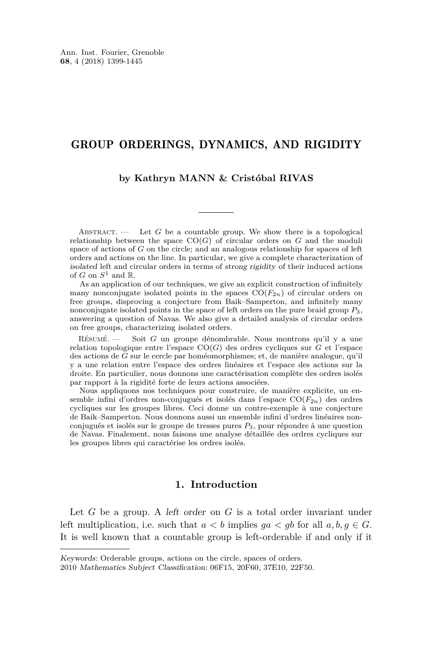#### GROUP ORDERINGS, DYNAMICS, AND RIGIDITY

#### **by Kathryn MANN & Cristóbal RIVAS**

ABSTRACT.  $\qquad$  Let *G* be a countable group. We show there is a topological relationship between the space  $CO(G)$  of circular orders on  $G$  and the moduli space of actions of *G* on the circle; and an analogous relationship for spaces of left orders and actions on the line. In particular, we give a complete characterization of isolated left and circular orders in terms of strong rigidity of their induced actions of *G* on  $S^1$  and  $\mathbb{R}$ .

As an application of our techniques, we give an explicit construction of infinitely many nonconjugate isolated points in the spaces  $CO(F_{2n})$  of circular orders on free groups, disproving a conjecture from Baik–Samperton, and infinitely many nonconjugate isolated points in the space of left orders on the pure braid group *P*3, answering a question of Navas. We also give a detailed analysis of circular orders on free groups, characterizing isolated orders.

Résumé. — Soit *G* un groupe dénombrable. Nous montrons qu'il y a une relation topologique entre l'espace CO(*G*) des ordres cycliques sur *G* et l'espace des actions de *G* sur le cercle par homéomorphismes; et, de manière analogue, qu'il y a une relation entre l'espace des ordres linéaires et l'espace des actions sur la droite. En particulier, nous donnons une caractérisation complète des ordres isolés par rapport à la rigidité forte de leurs actions associées.

Nous appliquons nos techniques pour construire, de manière explicite, un ensemble infini d'ordres non-conjugués et isolés dans l'espace CO(*F*2*n*) des ordres cycliques sur les groupes libres. Ceci donne un contre-exemple à une conjecture de Baik–Samperton. Nous donnons aussi un ensemble infini d'ordres linéaires nonconjugués et isolés sur le groupe de tresses pures *P*3, pour répondre à une question de Navas. Finalement, nous faisons une analyse détaillée des ordres cycliques sur les groupes libres qui caractérise les ordres isolés.

#### **1. Introduction**

Let *G* be a group. A left order on *G* is a total order invariant under left multiplication, i.e. such that  $a < b$  implies  $qa < qb$  for all  $a, b, q \in G$ . It is well known that a countable group is left-orderable if and only if it

Keywords: Orderable groups, actions on the circle, spaces of orders.

<sup>2010</sup> Mathematics Subject Classification: 06F15, 20F60, 37E10, 22F50.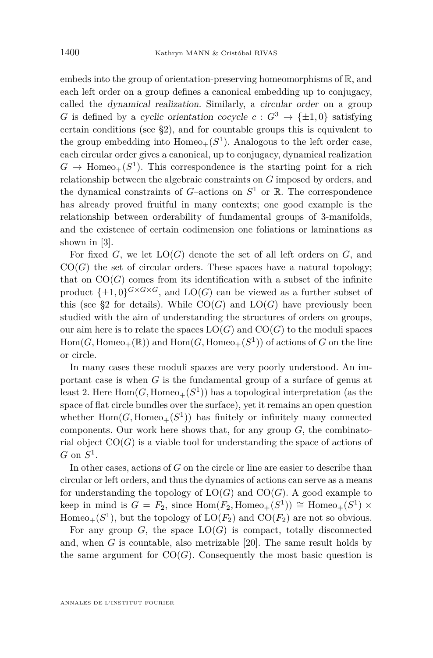embeds into the group of orientation-preserving homeomorphisms of  $\mathbb{R}$ , and each left order on a group defines a canonical embedding up to conjugacy, called the dynamical realization. Similarly, a circular order on a group *G* is defined by a cyclic orientation cocycle  $c: G^3 \to {\pm 1, 0}$  satisfying certain conditions (see [§2\)](#page-5-0), and for countable groups this is equivalent to the group embedding into  $Homeo_+(S^1)$ . Analogous to the left order case, each circular order gives a canonical, up to conjugacy, dynamical realization  $G \to \text{Homeo}_+(S^1)$ . This correspondence is the starting point for a rich relationship between the algebraic constraints on *G* imposed by orders, and the dynamical constraints of  $G$ -actions on  $S^1$  or  $\mathbb R$ . The correspondence has already proved fruitful in many contexts; one good example is the relationship between orderability of fundamental groups of 3-manifolds, and the existence of certain codimension one foliations or laminations as shown in [\[3\]](#page-46-0).

For fixed *G*, we let LO(*G*) denote the set of all left orders on *G*, and  $CO(G)$  the set of circular orders. These spaces have a natural topology; that on  $CO(G)$  comes from its identification with a subset of the infinite product  $\{\pm 1, 0\}^{G \times G \times G}$ , and  $LO(G)$  can be viewed as a further subset of this (see [§2](#page-5-0) for details). While  $CO(G)$  and  $LO(G)$  have previously been studied with the aim of understanding the structures of orders on groups, our aim here is to relate the spaces  $LO(G)$  and  $CO(G)$  to the moduli spaces  $Hom(G, Homeo_+(\mathbb{R}))$  and  $Hom(G, Homeo_+(S^1))$  of actions of *G* on the line or circle.

In many cases these moduli spaces are very poorly understood. An important case is when *G* is the fundamental group of a surface of genus at least 2. Here  $\text{Hom}(G, \text{Homeo}_+(S^1))$  has a topological interpretation (as the space of flat circle bundles over the surface), yet it remains an open question whether  $Hom(G, Homeo_+(S^1))$  has finitely or infinitely many connected components. Our work here shows that, for any group *G*, the combinatorial object  $CO(G)$  is a viable tool for understanding the space of actions of  $G$  on  $S^1$ .

In other cases, actions of *G* on the circle or line are easier to describe than circular or left orders, and thus the dynamics of actions can serve as a means for understanding the topology of  $LO(G)$  and  $CO(G)$ . A good example to keep in mind is  $G = F_2$ , since  $Hom(F_2, Homeo_+(S^1)) \cong Homeo_+(S^1) \times$ Homeo<sub>+</sub>( $S^1$ ), but the topology of  $LO(F_2)$  and  $CO(F_2)$  are not so obvious.

For any group  $G$ , the space  $LO(G)$  is compact, totally disconnected and, when *G* is countable, also metrizable [\[20\]](#page-47-0). The same result holds by the same argument for  $CO(G)$ . Consequently the most basic question is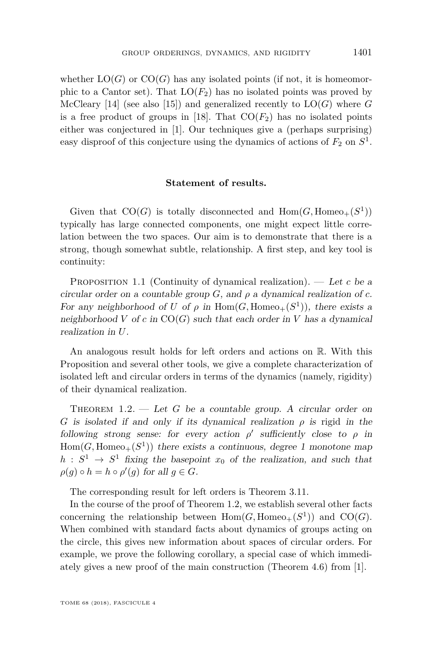whether  $LO(G)$  or  $CO(G)$  has any isolated points (if not, it is homeomorphic to a Cantor set). That  $LO(F_2)$  has no isolated points was proved by McCleary [\[14\]](#page-46-1) (see also [\[15\]](#page-46-2)) and generalized recently to  $LO(G)$  where  $G$ is a free product of groups in [\[18\]](#page-47-1). That  $CO(F_2)$  has no isolated points either was conjectured in [\[1\]](#page-46-3). Our techniques give a (perhaps surprising) easy disproof of this conjecture using the dynamics of actions of  $F_2$  on  $S^1$ .

#### **Statement of results.**

Given that  $CO(G)$  is totally disconnected and  $Hom(G, Homeo+(S^1))$ typically has large connected components, one might expect little correlation between the two spaces. Our aim is to demonstrate that there is a strong, though somewhat subtle, relationship. A first step, and key tool is continuity:

<span id="page-3-1"></span>PROPOSITION 1.1 (Continuity of dynamical realization). — Let c be a circular order on a countable group  $G$ , and  $\rho$  a dynamical realization of  $c$ . For any neighborhood of *U* of  $\rho$  in  $Hom(G, Homeo+(S^1))$ , there exists a neighborhood  $V$  of  $c$  in  $CO(G)$  such that each order in  $V$  has a dynamical realization in *U*.

An analogous result holds for left orders and actions on R. With this Proposition and several other tools, we give a complete characterization of isolated left and circular orders in terms of the dynamics (namely, rigidity) of their dynamical realization.

<span id="page-3-0"></span>THEOREM  $1.2.$  — Let *G* be a countable group. A circular order on *G* is isolated if and only if its dynamical realization *ρ* is rigid in the following strong sense: for every action  $\rho'$  sufficiently close to  $\rho$  in  $Hom(G, Homeo<sub>+</sub>(S<sup>1</sup>))$  there exists a continuous, degree 1 monotone map  $h: S^1 \to S^1$  fixing the basepoint  $x_0$  of the realization, and such that  $\rho(g) \circ h = h \circ \rho'(g)$  for all  $g \in G$ .

The corresponding result for left orders is Theorem [3.11.](#page-15-0)

In the course of the proof of Theorem [1.2,](#page-3-0) we establish several other facts concerning the relationship between  $Hom(G, Homeo_+(S^1))$  and  $CO(G)$ . When combined with standard facts about dynamics of groups acting on the circle, this gives new information about spaces of circular orders. For example, we prove the following corollary, a special case of which immediately gives a new proof of the main construction (Theorem 4.6) from [\[1\]](#page-46-3).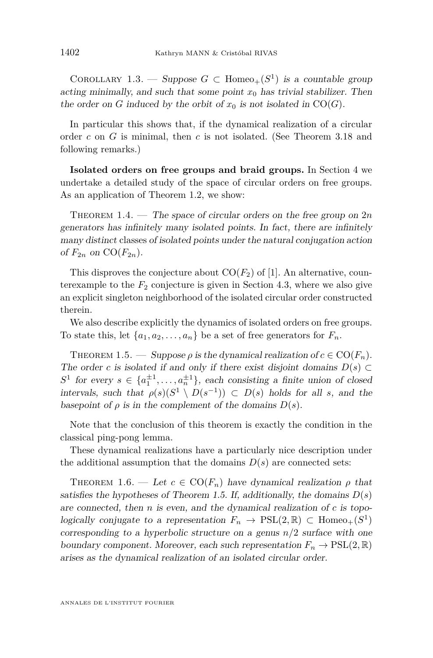<span id="page-4-2"></span>COROLLARY 1.3. — Suppose  $G \subset \text{Homeo}_+(S^1)$  is a countable group acting minimally, and such that some point  $x_0$  has trivial stabilizer. Then the order on *G* induced by the orbit of  $x_0$  is not isolated in CO(*G*).

In particular this shows that, if the dynamical realization of a circular order *c* on *G* is minimal, then *c* is not isolated. (See Theorem [3.18](#page-20-0) and following remarks.)

**Isolated orders on free groups and braid groups.** In Section [4](#page-26-0) we undertake a detailed study of the space of circular orders on free groups. As an application of Theorem [1.2,](#page-3-0) we show:

<span id="page-4-1"></span>THEOREM  $1.4.$  — The space of circular orders on the free group on  $2n$ generators has infinitely many isolated points. In fact, there are infinitely many distinct classes of isolated points under the natural conjugation action of  $F_{2n}$  on  $CO(F_{2n})$ .

This disproves the conjecture about  $CO(F_2)$  of [\[1\]](#page-46-3). An alternative, counterexample to the  $F_2$  conjecture is given in Section [4.3,](#page-40-0) where we also give an explicit singleton neighborhood of the isolated circular order constructed therein.

We also describe explicitly the dynamics of isolated orders on free groups. To state this, let  $\{a_1, a_2, \ldots, a_n\}$  be a set of free generators for  $F_n$ .

<span id="page-4-0"></span>THEOREM 1.5. — Suppose  $\rho$  is the dynamical realization of  $c \in \text{CO}(F_n)$ . The order *c* is isolated if and only if there exist disjoint domains  $D(s) \subset$  $S^1$  for every  $s \in \{a_1^{\pm 1}, \ldots, a_n^{\pm 1}\}$ , each consisting a finite union of closed intervals, such that  $\rho(s)(S^1 \setminus D(s^{-1})) \subset D(s)$  holds for all *s*, and the basepoint of  $\rho$  is in the complement of the domains  $D(s)$ .

Note that the conclusion of this theorem is exactly the condition in the classical ping-pong lemma.

These dynamical realizations have a particularly nice description under the additional assumption that the domains  $D(s)$  are connected sets:

THEOREM 1.6. — Let  $c \in \text{CO}(F_n)$  have dynamical realization  $\rho$  that satisfies the hypotheses of Theorem [1.5.](#page-4-0) If, additionally, the domains  $D(s)$ are connected, then *n* is even, and the dynamical realization of *c* is topologically conjugate to a representation  $F_n \to \text{PSL}(2,\mathbb{R}) \subset \text{Homeo}_+(S^1)$ corresponding to a hyperbolic structure on a genus *n/*2 surface with one boundary component. Moreover, each such representation  $F_n \to \text{PSL}(2,\mathbb{R})$ arises as the dynamical realization of an isolated circular order.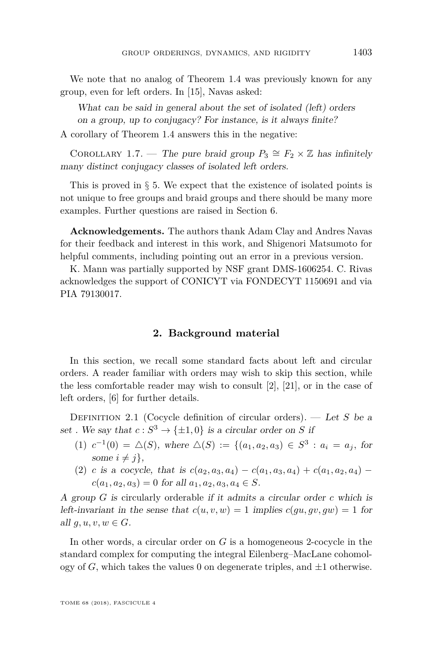We note that no analog of Theorem [1.4](#page-4-1) was previously known for any group, even for left orders. In [\[15\]](#page-46-2), Navas asked:

What can be said in general about the set of isolated (left) orders on a group, up to conjugacy? For instance, is it always finite?

A corollary of Theorem [1.4](#page-4-1) answers this in the negative:

COROLLARY 1.7. — The pure braid group  $P_3 \cong F_2 \times \mathbb{Z}$  has infinitely many distinct conjugacy classes of isolated left orders.

This is proved in  $\S 5$ . We expect that the existence of isolated points is not unique to free groups and braid groups and there should be many more examples. Further questions are raised in Section [6.](#page-45-0)

**Acknowledgements.** The authors thank Adam Clay and Andres Navas for their feedback and interest in this work, and Shigenori Matsumoto for helpful comments, including pointing out an error in a previous version.

K. Mann was partially supported by NSF grant DMS-1606254. C. Rivas acknowledges the support of CONICYT via FONDECYT 1150691 and via PIA 79130017.

#### **2. Background material**

<span id="page-5-0"></span>In this section, we recall some standard facts about left and circular orders. A reader familiar with orders may wish to skip this section, while the less comfortable reader may wish to consult  $[2]$ ,  $[21]$ , or in the case of left orders, [\[6\]](#page-46-5) for further details.

<span id="page-5-1"></span>Definition 2.1 (Cocycle definition of circular orders). — Let *S* be a set . We say that  $c: S^3 \to {\pm 1, 0}$  is a circular order on *S* if

- $(1)$   $c^{-1}(0) = \Delta(S)$ , where  $\Delta(S) := \{(a_1, a_2, a_3) \in S^3 : a_i = a_j, \text{ for }$ some  $i \neq j$ ,
- (2) *c* is a cocycle, that is  $c(a_2, a_3, a_4) c(a_1, a_3, a_4) + c(a_1, a_2, a_4)$  $c(a_1, a_2, a_3) = 0$  for all  $a_1, a_2, a_3, a_4 \in S$ .

A group *G* is circularly orderable if it admits a circular order *c* which is left-invariant in the sense that  $c(u, v, w) = 1$  implies  $c(gu, gv, gw) = 1$  for all  $q, u, v, w \in G$ .

In other words, a circular order on *G* is a homogeneous 2-cocycle in the standard complex for computing the integral Eilenberg–MacLane cohomology of  $G$ , which takes the values 0 on degenerate triples, and  $\pm 1$  otherwise.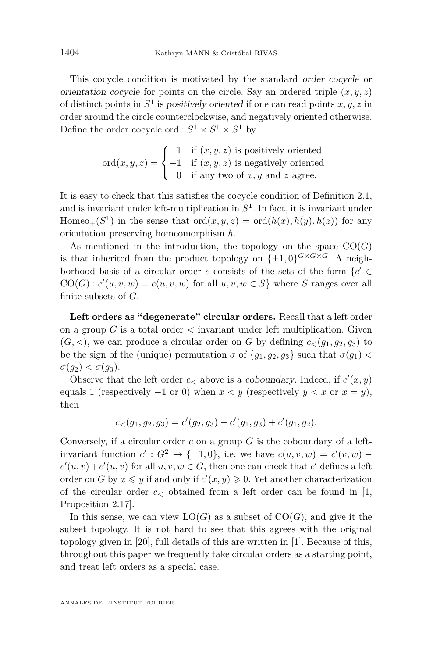This cocycle condition is motivated by the standard order cocycle or orientation cocycle for points on the circle. Say an ordered triple  $(x, y, z)$ of distinct points in *S* 1 is positively oriented if one can read points *x, y, z* in order around the circle counterclockwise, and negatively oriented otherwise. Define the order cocycle ord :  $S^1 \times S^1 \times S^1$  by

$$
ord(x, y, z) = \begin{cases} 1 & \text{if } (x, y, z) \text{ is positively oriented} \\ -1 & \text{if } (x, y, z) \text{ is negatively oriented} \\ 0 & \text{if any two of } x, y \text{ and } z \text{ agree.} \end{cases}
$$

It is easy to check that this satisfies the cocycle condition of Definition [2.1,](#page-5-1) and is invariant under left-multiplication in *S* 1 . In fact, it is invariant under  $\text{Homeo}_+(S^1)$  in the sense that  $\text{ord}(x, y, z) = \text{ord}(h(x), h(y), h(z))$  for any orientation preserving homeomorphism *h*.

As mentioned in the introduction, the topology on the space  $CO(G)$ is that inherited from the product topology on  $\{\pm 1, 0\}^{G \times G \times G}$ . A neighborhood basis of a circular order *c* consists of the sets of the form  $\{c' \in \mathcal{C}\}$  $CO(G): c'(u, v, w) = c(u, v, w)$  for all  $u, v, w \in S$ } where *S* ranges over all finite subsets of *G*.

**Left orders as "degenerate" circular orders.** Recall that a left order on a group *G* is a total order *<* invariant under left multiplication. Given  $(G, \leq)$ , we can produce a circular order on *G* by defining  $c_{\leq}(g_1, g_2, g_3)$  to be the sign of the (unique) permutation  $\sigma$  of  $\{g_1, g_2, g_3\}$  such that  $\sigma(g_1)$  <  $\sigma(g_2) < \sigma(g_3)$ .

Observe that the left order  $c$  above is a *coboundary*. Indeed, if  $c'(x, y)$ equals 1 (respectively  $-1$  or 0) when  $x < y$  (respectively  $y < x$  or  $x = y$ ), then

$$
c_{\lt}(g_1, g_2, g_3) = c'(g_2, g_3) - c'(g_1, g_3) + c'(g_1, g_2).
$$

Conversely, if a circular order *c* on a group *G* is the coboundary of a leftinvariant function  $c': G^2 \to {\pm 1, 0}$ , i.e. we have  $c(u, v, w) = c'(v, w)$  $c'(u, v) + c'(u, v)$  for all  $u, v, w \in G$ , then one can check that *c*' defines a left order on *G* by  $x \leq y$  if and only if  $c'(x, y) \geq 0$ . Yet another characterization of the circular order  $c<sub>5</sub>$  obtained from a left order can be found in [\[1,](#page-46-3) Proposition 2.17].

In this sense, we can view  $LO(G)$  as a subset of  $CO(G)$ , and give it the subset topology. It is not hard to see that this agrees with the original topology given in [\[20\]](#page-47-0), full details of this are written in [\[1\]](#page-46-3). Because of this, throughout this paper we frequently take circular orders as a starting point, and treat left orders as a special case.

ANNALES DE L'INSTITUT FOURIER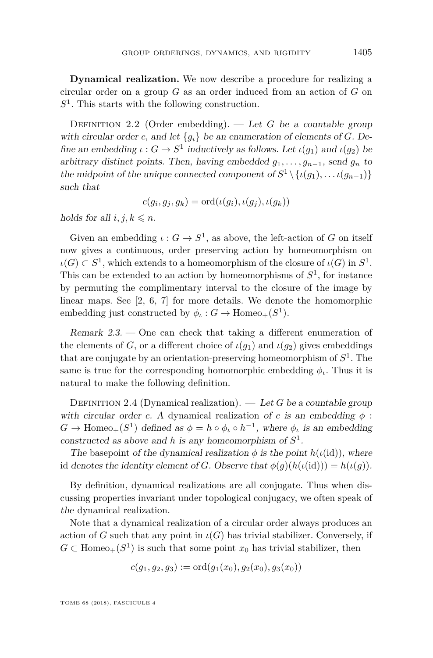**Dynamical realization.** We now describe a procedure for realizing a circular order on a group *G* as an order induced from an action of *G* on *S* 1 . This starts with the following construction.

<span id="page-7-1"></span>DEFINITION 2.2 (Order embedding).  $-\text{Let } G$  be a countable group with circular order *c*, and let  ${g_i}$  be an enumeration of elements of *G*. Define an embedding  $\iota : G \to S^1$  inductively as follows. Let  $\iota(g_1)$  and  $\iota(g_2)$  be arbitrary distinct points. Then, having embedded  $g_1, \ldots, g_{n-1}$ , send  $g_n$  to the midpoint of the unique connected component of  $S^1 \setminus \{ \iota(g_1), \ldots \iota(g_{n-1}) \}$ such that

$$
c(g_i, g_j, g_k) = \mathrm{ord}(\iota(g_i), \iota(g_j), \iota(g_k))
$$

holds for all  $i, j, k \leq n$ .

Given an embedding  $\iota: G \to S^1$ , as above, the left-action of *G* on itself now gives a continuous, order preserving action by homeomorphism on  $\iota(G) \subset S^1$ , which extends to a homeomorphism of the closure of  $\iota(G)$  in  $S^1$ . This can be extended to an action by homeomorphisms of  $S<sup>1</sup>$ , for instance by permuting the complimentary interval to the closure of the image by linear maps. See [\[2,](#page-46-4) [6,](#page-46-5) [7\]](#page-46-6) for more details. We denote the homomorphic embedding just constructed by  $\phi_{\iota}: G \to \text{Homeo}_+(S^1)$ .

Remark 2.3. — One can check that taking a different enumeration of the elements of *G*, or a different choice of  $\iota(g_1)$  and  $\iota(g_2)$  gives embeddings that are conjugate by an orientation-preserving homeomorphism of *S* 1 . The same is true for the corresponding homomorphic embedding  $\phi$ *<sub><i>ι*</sub>. Thus it is natural to make the following definition.

<span id="page-7-0"></span>DEFINITION 2.4 (Dynamical realization). — Let *G* be a countable group with circular order *c*. A dynamical realization of *c* is an embedding  $\phi$ :  $G \to \text{Homeo}_+(S^1)$  defined as  $\phi = h \circ \phi_t \circ h^{-1}$ , where  $\phi_t$  is an embedding constructed as above and *h* is any homeomorphism of  $S^1$ .

The basepoint of the dynamical realization  $\phi$  is the point  $h(\iota(\mathrm{id}))$ , where id denotes the identity element of *G*. Observe that  $\phi(g)(h(\iota(\mathrm{id}))) = h(\iota(g)).$ 

By definition, dynamical realizations are all conjugate. Thus when discussing properties invariant under topological conjugacy, we often speak of the dynamical realization.

Note that a dynamical realization of a circular order always produces an action of *G* such that any point in  $\iota(G)$  has trivial stabilizer. Conversely, if  $G \subset \text{Homeo}_+(S^1)$  is such that some point  $x_0$  has trivial stabilizer, then

$$
c(g_1, g_2, g_3) := \mathrm{ord}(g_1(x_0), g_2(x_0), g_3(x_0))
$$

TOME 68 (2018), FASCICULE 4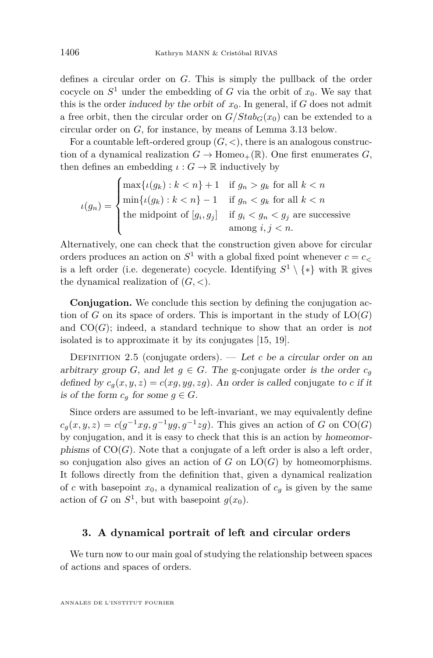defines a circular order on *G*. This is simply the pullback of the order cocycle on  $S^1$  under the embedding of *G* via the orbit of  $x_0$ . We say that this is the order induced by the orbit of  $x_0$ . In general, if *G* does not admit a free orbit, then the circular order on  $G/Stab_G(x_0)$  can be extended to a circular order on *G*, for instance, by means of Lemma [3.13](#page-17-0) below.

For a countable left-ordered group  $(G, <)$ , there is an analogous construction of a dynamical realization  $G \to \text{Homeo}_+(\mathbb{R})$ . One first enumerates *G*, then defines an embedding  $\iota : G \to \mathbb{R}$  inductively by

$$
\iota(g_n) = \begin{cases} \max\{\iota(g_k) : k < n\} + 1 & \text{if } g_n > g_k \text{ for all } k < n \\ \min\{\iota(g_k) : k < n\} - 1 & \text{if } g_n < g_k \text{ for all } k < n \\ \text{the midpoint of } [g_i, g_j] & \text{if } g_i < g_n < g_j \text{ are successive} \\ \text{among } i, j < n. \end{cases}
$$

Alternatively, one can check that the construction given above for circular orders produces an action on  $S^1$  with a global fixed point whenever  $c = c$ is a left order (i.e. degenerate) cocycle. Identifying  $S^1 \setminus \{*\}$  with R gives the dynamical realization of (*G, <*).

**Conjugation.** We conclude this section by defining the conjugation action of  $G$  on its space of orders. This is important in the study of  $LO(G)$ and  $CO(G)$ ; indeed, a standard technique to show that an order is not isolated is to approximate it by its conjugates [\[15,](#page-46-2) [19\]](#page-47-3).

<span id="page-8-0"></span>DEFINITION 2.5 (conjugate orders).  $-$  *Let c* be a circular order on an arbitrary group *G*, and let  $g \in G$ . The g-conjugate order is the order  $c_g$ defined by  $c_q(x, y, z) = c(xg, yg, zg)$ . An order is called conjugate to *c* if it is of the form  $c_q$  for some  $q \in G$ .

Since orders are assumed to be left-invariant, we may equivalently define  $c_g(x, y, z) = c(g^{-1}xg, g^{-1}yg, g^{-1}zg)$ . This gives an action of *G* on CO(*G*) by conjugation, and it is easy to check that this is an action by homeomorphisms of  $CO(G)$ . Note that a conjugate of a left order is also a left order, so conjugation also gives an action of  $G$  on  $LO(G)$  by homeomorphisms. It follows directly from the definition that, given a dynamical realization of *c* with basepoint  $x_0$ , a dynamical realization of  $c_g$  is given by the same action of *G* on  $S^1$ , but with basepoint  $g(x_0)$ .

#### <span id="page-8-1"></span>**3. A dynamical portrait of left and circular orders**

We turn now to our main goal of studying the relationship between spaces of actions and spaces of orders.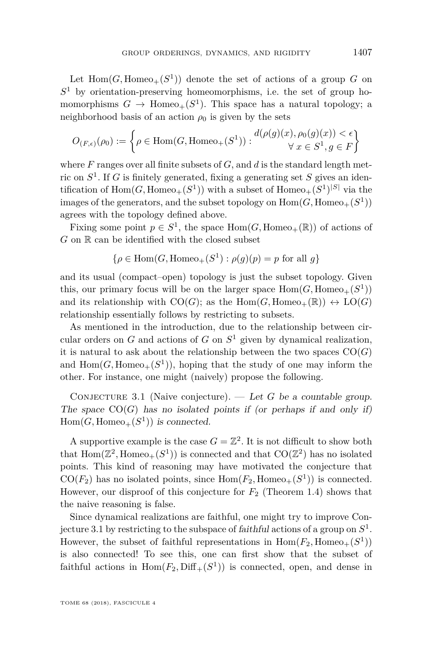Let  $Hom(G, Homeo_+(S^1))$  denote the set of actions of a group *G* on *S* <sup>1</sup> by orientation-preserving homeomorphisms, i.e. the set of group homomorphisms  $G \to \text{Homeo}_+(S^1)$ . This space has a natural topology; a neighborhood basis of an action  $\rho_0$  is given by the sets

$$
O_{(F,\epsilon)}(\rho_0) := \left\{ \rho \in \text{Hom}(G, \text{Homeo}_+(S^1)) : \begin{matrix} d(\rho(g)(x), \rho_0(g)(x)) < \epsilon \\ \forall \ x \in S^1, g \in F \end{matrix} \right\}
$$

where *F* ranges over all finite subsets of *G*, and *d* is the standard length metric on *S* 1 . If *G* is finitely generated, fixing a generating set *S* gives an identification of  $\text{Hom}(G, \text{Homeo}_+(S^1))$  with a subset of  $\text{Homeo}_+(S^1)^{|S|}$  via the images of the generators, and the subset topology on  $\mathrm{Hom}(G,\mathrm{Homeo}_+(S^1))$ agrees with the topology defined above.

Fixing some point  $p \in S^1$ , the space  $Hom(G, Hom_{\mathfrak{S}_+}(\mathbb{R}))$  of actions of *G* on **R** can be identified with the closed subset

$$
\{\rho\in \mathrm{Hom}(G,\mathrm{Homeo}_+(S^1):\rho(g)(p)=p\text{ for all }g\}
$$

and its usual (compact–open) topology is just the subset topology. Given this, our primary focus will be on the larger space  $Hom(G, Homeo_+(S^1))$ and its relationship with  $CO(G)$ ; as the Hom(*G*, Homeo<sub>+</sub>(R))  $\leftrightarrow$  LO(*G*) relationship essentially follows by restricting to subsets.

As mentioned in the introduction, due to the relationship between circular orders on  $G$  and actions of  $G$  on  $S<sup>1</sup>$  given by dynamical realization, it is natural to ask about the relationship between the two spaces  $CO(G)$ and  $Hom(G, Homeo_+(S^1))$ , hoping that the study of one may inform the other. For instance, one might (naively) propose the following.

<span id="page-9-0"></span>CONJECTURE 3.1 (Naive conjecture). — Let G be a countable group. The space  $CO(G)$  has no isolated points if (or perhaps if and only if)  $Hom(G, Homeo<sub>+</sub>(S<sup>1</sup>))$  is connected.

A supportive example is the case  $G = \mathbb{Z}^2$ . It is not difficult to show both that  $\text{Hom}(\mathbb{Z}^2, \text{Homeo}_+(S^1))$  is connected and that  $\text{CO}(\mathbb{Z}^2)$  has no isolated points. This kind of reasoning may have motivated the conjecture that  $CO(F_2)$  has no isolated points, since  $Hom(F_2, Homeo_+(S^1))$  is connected. However, our disproof of this conjecture for *F*<sup>2</sup> (Theorem [1.4\)](#page-4-1) shows that the naive reasoning is false.

Since dynamical realizations are faithful, one might try to improve Conjecture [3.1](#page-9-0) by restricting to the subspace of faithful actions of a group on *S* 1 . However, the subset of faithful representations in  $Hom(F_2, Homeo_+(S^1))$ is also connected! To see this, one can first show that the subset of faithful actions in  $Hom(F_2, Diff_+(S^1))$  is connected, open, and dense in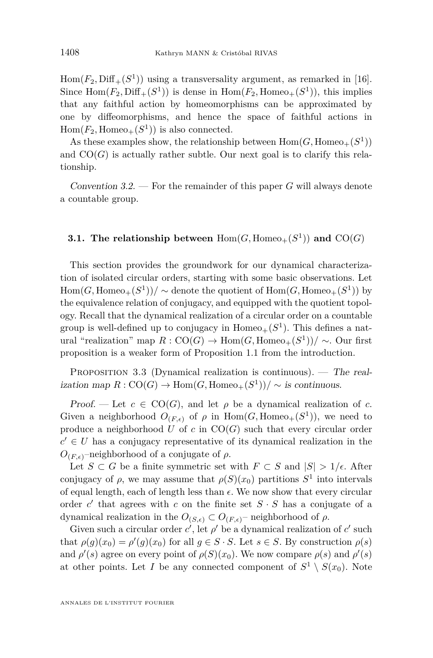$Hom(F_2, Diff_+(S^1))$  using a transversality argument, as remarked in [\[16\]](#page-47-4). Since  $Hom(F_2, Diff_+(S^1))$  is dense in  $Hom(F_2, Homeo_+(S^1))$ , this implies that any faithful action by homeomorphisms can be approximated by one by diffeomorphisms, and hence the space of faithful actions in  $Hom(F_2, Homeo_+(S^1))$  is also connected.

As these examples show, the relationship between  $Hom(G, Homeo_+(S^1))$ and  $CO(G)$  is actually rather subtle. Our next goal is to clarify this relationship.

Convention  $3.2.$  – For the remainder of this paper *G* will always denote a countable group.

#### **3.1.** The relationship between  $Hom(G, Homeo_{+}(S^{1}))$  and  $CO(G)$

This section provides the groundwork for our dynamical characterization of isolated circular orders, starting with some basic observations. Let  $\text{Hom}(G, \text{Homeo}_+(S^1))/ \sim$  denote the quotient of  $\text{Hom}(G, \text{Homeo}_+(S^1))$  by the equivalence relation of conjugacy, and equipped with the quotient topology. Recall that the dynamical realization of a circular order on a countable group is well-defined up to conjugacy in  $Homeo_+(S^1)$ . This defines a natural "realization" map  $R: CO(G) \to Hom(G, Homeo_+(S^1))/ \sim$ . Our first proposition is a weaker form of Proposition [1.1](#page-3-1) from the introduction.

<span id="page-10-0"></span>PROPOSITION 3.3 (Dynamical realization is continuous). — The real- $\text{ization map } R: \text{CO}(G) \to \text{Hom}(G, \text{Homeo}_+(S^1))/ \sim \text{is continuous.}$ 

Proof. — Let  $c \in \text{CO}(G)$ , and let  $\rho$  be a dynamical realization of c. Given a neighborhood  $O_{(F,\epsilon)}$  of  $\rho$  in  $Hom(G, Homeo_+(S^1))$ , we need to produce a neighborhood  $U$  of  $c$  in  $CO(G)$  such that every circular order  $c' \in U$  has a conjugacy representative of its dynamical realization in the  $O(F, \epsilon)$ –neighborhood of a conjugate of *ρ*.

Let *S* ⊂ *G* be a finite symmetric set with  $F \subset S$  and  $|S| > 1/\epsilon$ . After conjugacy of  $\rho$ , we may assume that  $\rho(S)(x_0)$  partitions  $S^1$  into intervals of equal length, each of length less than  $\epsilon$ . We now show that every circular order  $c'$  that agrees with  $c$  on the finite set  $S \cdot S$  has a conjugate of a dynamical realization in the  $O_{(S,\epsilon)} \subset O_{(F,\epsilon)}$ – neighborhood of  $\rho$ .

Given such a circular order  $c'$ , let  $\rho'$  be a dynamical realization of  $c'$  such that  $\rho(g)(x_0) = \rho'(g)(x_0)$  for all  $g \in S \cdot S$ . Let  $s \in S$ . By construction  $\rho(s)$ and  $\rho'(s)$  agree on every point of  $\rho(S)(x_0)$ . We now compare  $\rho(s)$  and  $\rho'(s)$ at other points. Let *I* be any connected component of  $S^1 \setminus S(x_0)$ . Note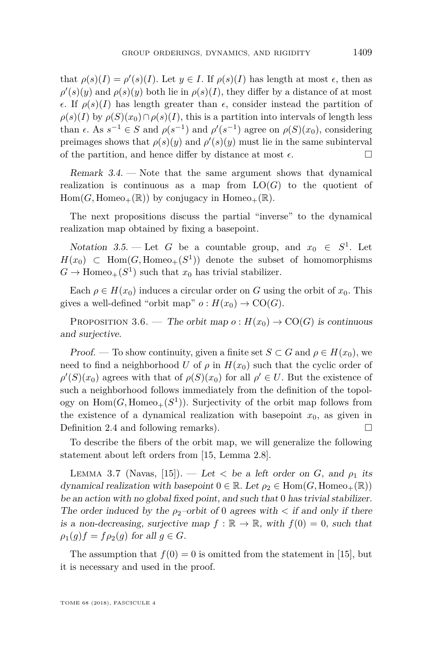that  $\rho(s)(I) = \rho'(s)(I)$ . Let  $y \in I$ . If  $\rho(s)(I)$  has length at most  $\epsilon$ , then as  $\rho'(s)(y)$  and  $\rho(s)(y)$  both lie in  $\rho(s)(I)$ , they differ by a distance of at most  $\epsilon$ . If  $\rho(s)(I)$  has length greater than  $\epsilon$ , consider instead the partition of  $\rho(s)(I)$  by  $\rho(S)(x_0) \cap \rho(s)(I)$ , this is a partition into intervals of length less than  $\epsilon$ . As  $s^{-1} \in S$  and  $\rho(s^{-1})$  and  $\rho'(s^{-1})$  agree on  $\rho(S)(x_0)$ , considering preimages shows that  $\rho(s)(y)$  and  $\rho'(s)(y)$  must lie in the same subinterval of the partition, and hence differ by distance at most  $\epsilon$ .

Remark 3.4. — Note that the same argument shows that dynamical realization is continuous as a map from  $LO(G)$  to the quotient of  $Hom(G, Homeo_+(\mathbb{R}))$  by conjugacy in Homeo<sub>+</sub>( $\mathbb{R}$ ).

The next propositions discuss the partial "inverse" to the dynamical realization map obtained by fixing a basepoint.

Notation 3.5. — Let *G* be a countable group, and  $x_0 \in S^1$ . Let  $H(x_0) \subset \text{Hom}(G, \text{Homeo}_+(S^1))$  denote the subset of homomorphisms  $G \to \text{Homeo}_+(S^1)$  such that  $x_0$  has trivial stabilizer.

Each  $\rho \in H(x_0)$  induces a circular order on *G* using the orbit of  $x_0$ . This gives a well-defined "orbit map"  $o: H(x_0) \to \text{CO}(G)$ .

<span id="page-11-0"></span>PROPOSITION 3.6. — The orbit map  $o: H(x_0) \to \text{CO}(G)$  is continuous and surjective.

Proof. — To show continuity, given a finite set  $S \subset G$  and  $\rho \in H(x_0)$ , we need to find a neighborhood *U* of  $\rho$  in  $H(x_0)$  such that the cyclic order of  $\rho'(S)(x_0)$  agrees with that of  $\rho(S)(x_0)$  for all  $\rho' \in U$ . But the existence of such a neighborhood follows immediately from the definition of the topology on  $\text{Hom}(G, \text{Homeo}_+(S^1))$ . Surjectivity of the orbit map follows from the existence of a dynamical realization with basepoint  $x_0$ , as given in Definition [2.4](#page-7-0) and following remarks).

To describe the fibers of the orbit map, we will generalize the following statement about left orders from [\[15,](#page-46-2) Lemma 2.8].

<span id="page-11-1"></span>LEMMA 3.7 (Navas, [\[15\]](#page-46-2)). — Let  $\lt$  be a left order on *G*, and  $\rho_1$  its dynamical realization with basepoint  $0 \in \mathbb{R}$ . Let  $\rho_2 \in \text{Hom}(G, \text{Homeo}_+(\mathbb{R}))$ be an action with no global fixed point, and such that 0 has trivial stabilizer. The order induced by the  $\rho_2$ -orbit of 0 agrees with  $\lt$  if and only if there is a non-decreasing, surjective map  $f : \mathbb{R} \to \mathbb{R}$ , with  $f(0) = 0$ , such that  $\rho_1(g)f = f\rho_2(g)$  for all  $g \in G$ .

The assumption that  $f(0) = 0$  is omitted from the statement in [\[15\]](#page-46-2), but it is necessary and used in the proof.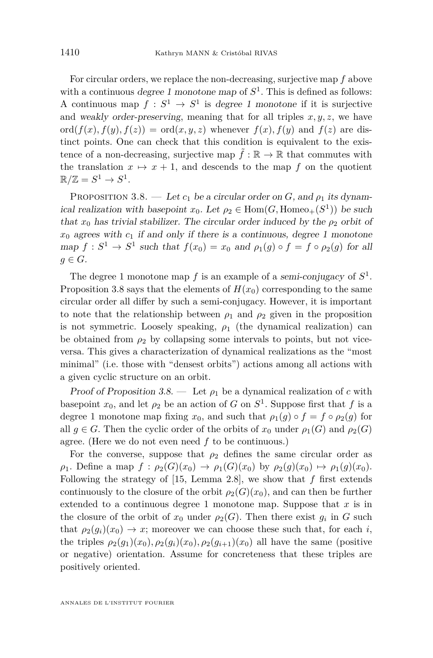For circular orders, we replace the non-decreasing, surjective map *f* above with a continuous degree 1 monotone map of  $S^1$ . This is defined as follows: A continuous map  $f: S^1 \to S^1$  is degree 1 monotone if it is surjective and weakly order-preserving, meaning that for all triples  $x, y, z$ , we have ord $(f(x), f(y), f(z)) = \text{ord}(x, y, z)$  whenever  $f(x), f(y)$  and  $f(z)$  are distinct points. One can check that this condition is equivalent to the existence of a non-decreasing, surjective map  $\tilde{f} : \mathbb{R} \to \mathbb{R}$  that commutes with the translation  $x \mapsto x + 1$ , and descends to the map *f* on the quotient  $\mathbb{R}/\mathbb{Z} = S^1 \to S^1.$ 

<span id="page-12-0"></span>PROPOSITION 3.8. — Let  $c_1$  be a circular order on  $G$ , and  $\rho_1$  its dynamical realization with basepoint  $x_0$ . Let  $\rho_2 \in \text{Hom}(G, \text{Homeo}_+(S^1))$  be such that  $x_0$  has trivial stabilizer. The circular order induced by the  $\rho_2$  orbit of  $x_0$  agrees with  $c_1$  if and only if there is a continuous, degree 1 monotone map  $f: S^1 \to S^1$  such that  $f(x_0) = x_0$  and  $\rho_1(g) \circ f = f \circ \rho_2(g)$  for all  $q \in G$ .

The degree 1 monotone map  $f$  is an example of a semi-conjugacy of  $S^1$ . Proposition [3.8](#page-12-0) says that the elements of  $H(x_0)$  corresponding to the same circular order all differ by such a semi-conjugacy. However, it is important to note that the relationship between  $\rho_1$  and  $\rho_2$  given in the proposition is not symmetric. Loosely speaking,  $\rho_1$  (the dynamical realization) can be obtained from  $\rho_2$  by collapsing some intervals to points, but not viceversa. This gives a characterization of dynamical realizations as the "most minimal" (i.e. those with "densest orbits") actions among all actions with a given cyclic structure on an orbit.

Proof of Proposition [3.8.](#page-12-0) — Let  $\rho_1$  be a dynamical realization of *c* with basepoint  $x_0$ , and let  $\rho_2$  be an action of *G* on  $S^1$ . Suppose first that *f* is a degree 1 monotone map fixing  $x_0$ , and such that  $\rho_1(q) \circ f = f \circ \rho_2(q)$  for all  $g \in G$ . Then the cyclic order of the orbits of  $x_0$  under  $\rho_1(G)$  and  $\rho_2(G)$ agree. (Here we do not even need *f* to be continuous.)

For the converse, suppose that  $\rho_2$  defines the same circular order as  $\rho_1$ . Define a map  $f : \rho_2(G)(x_0) \to \rho_1(G)(x_0)$  by  $\rho_2(g)(x_0) \mapsto \rho_1(g)(x_0)$ . Following the strategy of [\[15,](#page-46-2) Lemma 2.8], we show that *f* first extends continuously to the closure of the orbit  $\rho_2(G)(x_0)$ , and can then be further extended to a continuous degree 1 monotone map. Suppose that *x* is in the closure of the orbit of  $x_0$  under  $\rho_2(G)$ . Then there exist  $g_i$  in  $G$  such that  $\rho_2(q_i)(x_0) \to x$ ; moreover we can choose these such that, for each *i*, the triples  $\rho_2(g_1)(x_0), \rho_2(g_i)(x_0), \rho_2(g_{i+1})(x_0)$  all have the same (positive or negative) orientation. Assume for concreteness that these triples are positively oriented.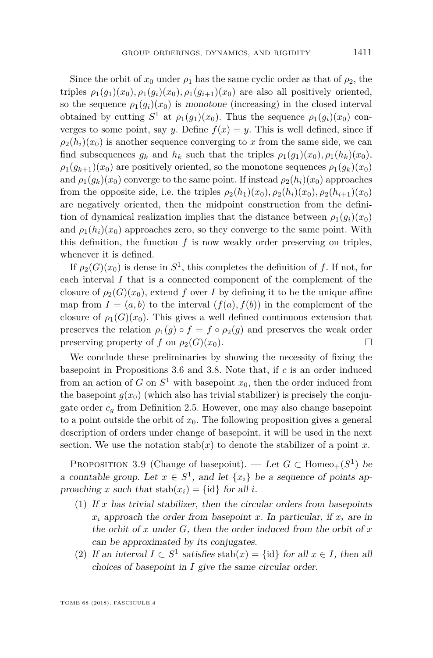Since the orbit of  $x_0$  under  $\rho_1$  has the same cyclic order as that of  $\rho_2$ , the triples  $\rho_1(q_1)(x_0), \rho_1(q_i)(x_0), \rho_1(q_{i+1})(x_0)$  are also all positively oriented, so the sequence  $\rho_1(q_i)(x_0)$  is monotone (increasing) in the closed interval obtained by cutting  $S^1$  at  $\rho_1(g_1)(x_0)$ . Thus the sequence  $\rho_1(g_i)(x_0)$  converges to some point, say *y*. Define  $f(x) = y$ . This is well defined, since if  $\rho_2(h_i)(x_0)$  is another sequence converging to *x* from the same side, we can find subsequences  $g_k$  and  $h_k$  such that the triples  $\rho_1(g_1)(x_0), \rho_1(h_k)(x_0)$ ,  $\rho_1(g_{k+1})(x_0)$  are positively oriented, so the monotone sequences  $\rho_1(g_k)(x_0)$ and  $\rho_1(q_k)(x_0)$  converge to the same point. If instead  $\rho_2(h_i)(x_0)$  approaches from the opposite side, i.e. the triples  $\rho_2(h_1)(x_0), \rho_2(h_i)(x_0), \rho_2(h_{i+1})(x_0)$ are negatively oriented, then the midpoint construction from the definition of dynamical realization implies that the distance between  $\rho_1(q_i)(x_0)$ and  $\rho_1(h_i)(x_0)$  approaches zero, so they converge to the same point. With this definition, the function *f* is now weakly order preserving on triples, whenever it is defined.

If  $\rho_2(G)(x_0)$  is dense in  $S^1$ , this completes the definition of f. If not, for each interval *I* that is a connected component of the complement of the closure of  $\rho_2(G)(x_0)$ , extend f over I by defining it to be the unique affine map from  $I = (a, b)$  to the interval  $(f(a), f(b))$  in the complement of the closure of  $\rho_1(G)(x_0)$ . This gives a well defined continuous extension that preserves the relation  $\rho_1(q) \circ f = f \circ \rho_2(q)$  and preserves the weak order preserving property of *f* on  $\rho_2(G)(x_0)$ .

We conclude these preliminaries by showing the necessity of fixing the basepoint in Propositions [3.6](#page-11-0) and [3.8.](#page-12-0) Note that, if *c* is an order induced from an action of *G* on  $S^1$  with basepoint  $x_0$ , then the order induced from the basepoint  $g(x_0)$  (which also has trivial stabilizer) is precisely the conjugate order  $c_q$  from Definition [2.5.](#page-8-0) However, one may also change basepoint to a point outside the orbit of  $x_0$ . The following proposition gives a general description of orders under change of basepoint, it will be used in the next section. We use the notation  $stab(x)$  to denote the stabilizer of a point  $x$ .

<span id="page-13-2"></span>PROPOSITION 3.9 (Change of basepoint). — Let  $G \subset \text{Homeo}_+(S^1)$  be a countable group. Let  $x \in S^1$ , and let  $\{x_i\}$  be a sequence of points approaching *x* such that  $stab(x_i) = \{id\}$  for all *i*.

- <span id="page-13-0"></span>(1) If  $x$  has trivial stabilizer, then the circular orders from basepoints  $x_i$  approach the order from basepoint *x*. In particular, if  $x_i$  are in the orbit of *x* under *G*, then the order induced from the orbit of *x* can be approximated by its conjugates.
- <span id="page-13-1"></span>(2) If an interval  $I \subset S^1$  satisfies stab $(x) = \{id\}$  for all  $x \in I$ , then all choices of basepoint in *I* give the same circular order.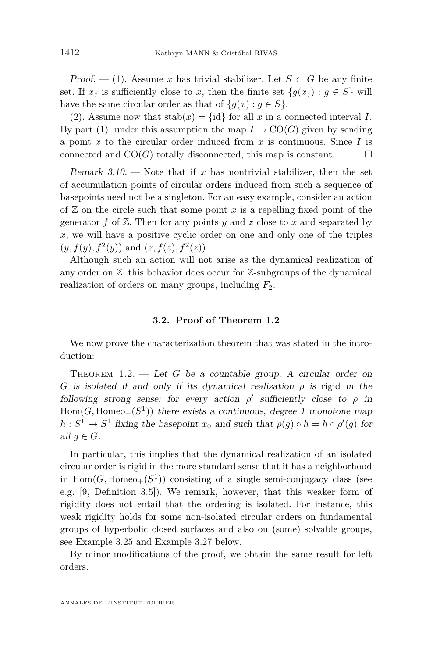Proof. — [\(1\)](#page-13-0). Assume x has trivial stabilizer. Let  $S \subset G$  be any finite set. If  $x_j$  is sufficiently close to  $x$ , then the finite set  $\{g(x_j) : g \in S\}$  will have the same circular order as that of  ${g(x) : g \in S}$ .

[\(2\)](#page-13-1). Assume now that  $stab(x) = \{id\}$  for all x in a connected interval I. By part [\(1\)](#page-13-0), under this assumption the map  $I \to \text{CO}(G)$  given by sending a point *x* to the circular order induced from *x* is continuous. Since *I* is connected and  $CO(G)$  totally disconnected, this map is constant.

<span id="page-14-0"></span>Remark  $3.10$ . — Note that if x has nontrivial stabilizer, then the set of accumulation points of circular orders induced from such a sequence of basepoints need not be a singleton. For an easy example, consider an action of  $\mathbb Z$  on the circle such that some point  $x$  is a repelling fixed point of the generator  $f$  of  $\mathbb{Z}$ . Then for any points  $y$  and  $z$  close to  $x$  and separated by *x*, we will have a positive cyclic order on one and only one of the triples  $(y, f(y), f^{2}(y))$  and  $(z, f(z), f^{2}(z))$ .

Although such an action will not arise as the dynamical realization of any order on  $\mathbb{Z}$ , this behavior does occur for  $\mathbb{Z}$ -subgroups of the dynamical realization of orders on many groups, including *F*2.

#### **3.2. Proof of Theorem [1.2](#page-3-0)**

We now prove the characterization theorem that was stated in the introduction:

THEOREM [1.2.](#page-3-0) — Let *G* be a countable group. A circular order on *G* is isolated if and only if its dynamical realization  $\rho$  is rigid in the following strong sense: for every action  $\rho'$  sufficiently close to  $\rho$  in  $Hom(G, Homeo<sub>+</sub>(S<sup>1</sup>))$  there exists a continuous, degree 1 monotone map  $h: S^1 \to S^1$  fixing the basepoint  $x_0$  and such that  $\rho(g) \circ h = h \circ \rho'(g)$  for all  $g \in G$ .

In particular, this implies that the dynamical realization of an isolated circular order is rigid in the more standard sense that it has a neighborhood in  $Hom(G, Homeo_+(S^1))$  consisting of a single semi-conjugacy class (see e.g. [\[9,](#page-46-7) Definition 3.5]). We remark, however, that this weaker form of rigidity does not entail that the ordering is isolated. For instance, this weak rigidity holds for some non-isolated circular orders on fundamental groups of hyperbolic closed surfaces and also on (some) solvable groups, see Example [3.25](#page-24-0) and Example [3.27](#page-25-0) below.

By minor modifications of the proof, we obtain the same result for left orders.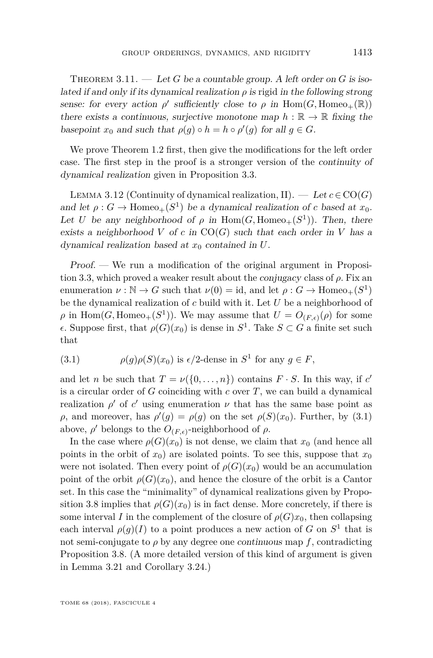<span id="page-15-0"></span>THEOREM  $3.11.$  — Let *G* be a countable group. A left order on *G* is isolated if and only if its dynamical realization  $\rho$  is rigid in the following strong sense: for every action  $\rho'$  sufficiently close to  $\rho$  in  $\text{Hom}(G, \text{Homeo}_+(\mathbb{R}))$ there exists a continuous, surjective monotone map  $h : \mathbb{R} \to \mathbb{R}$  fixing the basepoint  $x_0$  and such that  $\rho(g) \circ h = h \circ \rho'(g)$  for all  $g \in G$ .

We prove Theorem [1.2](#page-3-0) first, then give the modifications for the left order case. The first step in the proof is a stronger version of the continuity of dynamical realization given in Proposition [3.3.](#page-10-0)

<span id="page-15-2"></span>LEMMA 3.12 (Continuity of dynamical realization, II). — Let  $c \in \text{CO}(G)$ and let  $\rho: G \to \text{Homeo}_+(S^1)$  be a dynamical realization of *c* based at  $x_0$ . Let *U* be any neighborhood of  $\rho$  in Hom(*G*, Homeo<sub>+</sub>( $S$ <sup>1</sup>)). Then, there exists a neighborhood *V* of *c* in  $CO(G)$  such that each order in *V* has a dynamical realization based at *x*<sup>0</sup> contained in *U*.

Proof. — We run a modification of the original argument in Proposition [3.3,](#page-10-0) which proved a weaker result about the conjugacy class of *ρ*. Fix an enumeration  $\nu : \mathbb{N} \to G$  such that  $\nu(0) = id$ , and let  $\rho : G \to \text{Homeo}_+(S^1)$ be the dynamical realization of *c* build with it. Let *U* be a neighborhood of  $\rho$  in  $\text{Hom}(G, \text{Homeo}_+(S^1))$ . We may assume that  $U = O_{(F,\epsilon)}(\rho)$  for some . Suppose first, that *ρ*(*G*)(*x*0) is dense in *S* 1 . Take *S* ⊂ *G* a finite set such that

<span id="page-15-1"></span>(3.1) 
$$
\rho(g)\rho(S)(x_0) \text{ is } \epsilon/2 \text{-dense in } S^1 \text{ for any } g \in F,
$$

and let *n* be such that  $T = \nu({0, \ldots, n})$  contains  $F \cdot S$ . In this way, if *c* is a circular order of *G* coinciding with *c* over *T*, we can build a dynamical realization  $\rho'$  of  $c'$  using enumeration  $\nu$  that has the same base point as *ρ*, and moreover, has  $\rho'(g) = \rho(g)$  on the set  $\rho(S)(x_0)$ . Further, by [\(3.1\)](#page-15-1) above,  $\rho'$  belongs to the  $O_{(F,\epsilon)}$ -neighborhood of  $\rho$ .

In the case where  $\rho(G)(x_0)$  is not dense, we claim that  $x_0$  (and hence all points in the orbit of  $x_0$ ) are isolated points. To see this, suppose that  $x_0$ were not isolated. Then every point of  $\rho(G)(x_0)$  would be an accumulation point of the orbit  $\rho(G)(x_0)$ , and hence the closure of the orbit is a Cantor set. In this case the "minimality" of dynamical realizations given by Propo-sition [3.8](#page-12-0) implies that  $\rho(G)(x_0)$  is in fact dense. More concretely, if there is some interval *I* in the complement of the closure of  $\rho(G)x_0$ , then collapsing each interval  $\rho(g)(I)$  to a point produces a new action of *G* on  $S^1$  that is not semi-conjugate to  $\rho$  by any degree one continuous map  $f$ , contradicting Proposition [3.8.](#page-12-0) (A more detailed version of this kind of argument is given in Lemma [3.21](#page-21-0) and Corollary [3.24.](#page-24-1))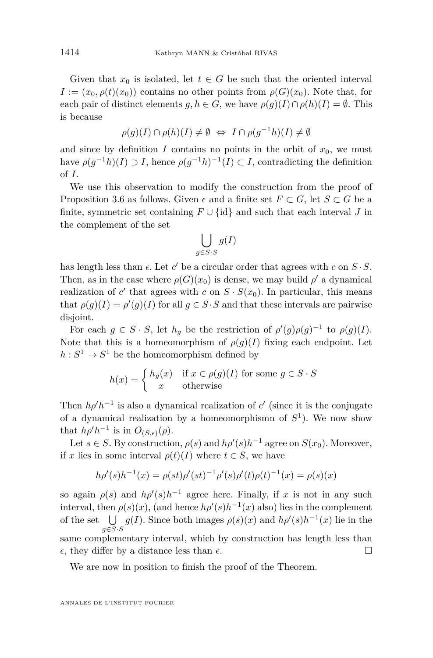Given that  $x_0$  is isolated, let  $t \in G$  be such that the oriented interval  $I := (x_0, \rho(t)(x_0))$  contains no other points from  $\rho(G)(x_0)$ . Note that, for each pair of distinct elements  $g, h \in G$ , we have  $\rho(g)(I) \cap \rho(h)(I) = \emptyset$ . This is because

$$
\rho(g)(I) \cap \rho(h)(I) \neq \emptyset \Leftrightarrow I \cap \rho(g^{-1}h)(I) \neq \emptyset
$$

and since by definition *I* contains no points in the orbit of  $x_0$ , we must have  $\rho(g^{-1}h)(I) \supset I$ , hence  $\rho(g^{-1}h)^{-1}(I) \subset I$ , contradicting the definition of *I*.

We use this observation to modify the construction from the proof of Proposition [3.6](#page-11-0) as follows. Given  $\epsilon$  and a finite set  $F \subset G$ , let  $S \subset G$  be a finite, symmetric set containing  $F \cup \{id\}$  and such that each interval *J* in the complement of the set

$$
\bigcup_{g \in S \cdot S} g(I)
$$

has length less than  $\epsilon$ . Let  $c'$  be a circular order that agrees with  $c$  on  $S \cdot S$ . Then, as in the case where  $\rho(G)(x_0)$  is dense, we may build  $\rho'$  a dynamical realization of  $c'$  that agrees with  $c$  on  $S \cdot S(x_0)$ . In particular, this means that  $\rho(g)(I) = \rho'(g)(I)$  for all  $g \in S \cdot S$  and that these intervals are pairwise disjoint.

For each  $g \in S \cdot S$ , let  $h_g$  be the restriction of  $\rho'(g)\rho(g)^{-1}$  to  $\rho(g)(I)$ . Note that this is a homeomorphism of  $\rho(q)(I)$  fixing each endpoint. Let  $h: S^1 \to S^1$  be the homeomorphism defined by

$$
h(x) = \begin{cases} h_g(x) & \text{if } x \in \rho(g)(I) \text{ for some } g \in S \cdot S \\ x & \text{otherwise} \end{cases}
$$

Then  $h\rho' h^{-1}$  is also a dynamical realization of *c*<sup> $\prime$ </sup> (since it is the conjugate of a dynamical realization by a homeomorphismn of *S* 1 ). We now show that  $h\rho'h^{-1}$  is in  $O_{(S,\epsilon)}(\rho)$ .

Let  $s \in S$ . By construction,  $\rho(s)$  and  $h\rho'(s)h^{-1}$  agree on  $S(x_0)$ . Moreover, if *x* lies in some interval  $\rho(t)(I)$  where  $t \in S$ , we have

$$
h\rho'(s)h^{-1}(x) = \rho(st)\rho'(st)^{-1}\rho'(s)\rho'(t)\rho(t)^{-1}(x) = \rho(s)(x)
$$

so again  $\rho(s)$  and  $h\rho'(s)h^{-1}$  agree here. Finally, if *x* is not in any such interval, then  $\rho(s)(x)$ , (and hence  $h\rho'(s)h^{-1}(x)$  also) lies in the complement of the set  $\bigcup$ *g*∈*S*·*S g*(*I*). Since both images  $\rho(s)(x)$  and  $h\rho'(s)h^{-1}(x)$  lie in the same complementary interval, which by construction has length less than  $\epsilon$ , they differ by a distance less than  $\epsilon$ .

We are now in position to finish the proof of the Theorem.

ANNALES DE L'INSTITUT FOURIER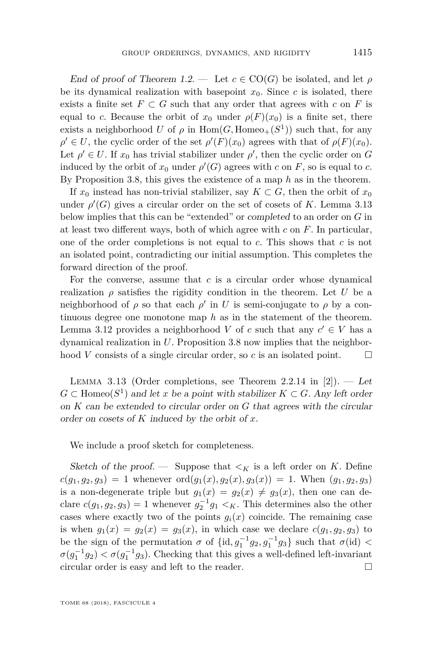End of proof of Theorem [1.2.](#page-3-0) — Let  $c \in \text{CO}(G)$  be isolated, and let  $\rho$ be its dynamical realization with basepoint  $x_0$ . Since *c* is isolated, there exists a finite set  $F \subset G$  such that any order that agrees with  $c$  on  $F$  is equal to *c*. Because the orbit of  $x_0$  under  $\rho(F)(x_0)$  is a finite set, there exists a neighborhood *U* of  $\rho$  in  $Hom(G, Homeo_+(S^1))$  such that, for any  $\rho' \in U$ , the cyclic order of the set  $\rho'(F)(x_0)$  agrees with that of  $\rho(F)(x_0)$ . Let  $\rho' \in U$ . If  $x_0$  has trivial stabilizer under  $\rho'$ , then the cyclic order on *G* induced by the orbit of  $x_0$  under  $\rho'(G)$  agrees with  $c$  on  $F$ , so is equal to  $c$ . By Proposition [3.8,](#page-12-0) this gives the existence of a map *h* as in the theorem.

If  $x_0$  instead has non-trivial stabilizer, say  $K \subset G$ , then the orbit of  $x_0$ under  $\rho'(G)$  gives a circular order on the set of cosets of *K*. Lemma [3.13](#page-17-0) below implies that this can be "extended" or completed to an order on *G* in at least two different ways, both of which agree with *c* on *F*. In particular, one of the order completions is not equal to *c*. This shows that *c* is not an isolated point, contradicting our initial assumption. This completes the forward direction of the proof.

For the converse, assume that *c* is a circular order whose dynamical realization  $\rho$  satisfies the rigidity condition in the theorem. Let *U* be a neighborhood of  $\rho$  so that each  $\rho'$  in *U* is semi-conjugate to  $\rho$  by a continuous degree one monotone map *h* as in the statement of the theorem. Lemma [3.12](#page-15-2) provides a neighborhood *V* of *c* such that any  $c' \in V$  has a dynamical realization in *U*. Proposition [3.8](#page-12-0) now implies that the neighborhood *V* consists of a single circular order, so *c* is an isolated point.  $\square$ 

<span id="page-17-0"></span>LEMMA 3.13 (Order completions, see Theorem 2.2.14 in [\[2\]](#page-46-4)). — Let  $G \subset \text{Homeo}(S^1)$  and let *x* be a point with stabilizer  $K \subset G$ . Any left order on *K* can be extended to circular order on *G* that agrees with the circular order on cosets of *K* induced by the orbit of *x*.

We include a proof sketch for completeness.

Sketch of the proof. — Suppose that  $\lt_K$  is a left order on *K*. Define  $c(g_1, g_2, g_3) = 1$  whenever  $\text{ord}(g_1(x), g_2(x), g_3(x)) = 1$ . When  $(g_1, g_2, g_3)$ is a non-degenerate triple but  $g_1(x) = g_2(x) \neq g_3(x)$ , then one can declare  $c(g_1, g_2, g_3) = 1$  whenever  $g_2^{-1}g_1 < K$ . This determines also the other cases where exactly two of the points  $g_i(x)$  coincide. The remaining case is when  $g_1(x) = g_2(x) = g_3(x)$ , in which case we declare  $c(g_1, g_2, g_3)$  to be the sign of the permutation  $\sigma$  of  $\{\mathrm{id}, g_1^{-1}g_2, g_1^{-1}g_3\}$  such that  $\sigma(\mathrm{id})$  <  $\sigma(g_1^{-1}g_2) < \sigma(g_1^{-1}g_3)$ . Checking that this gives a well-defined left-invariant circular order is easy and left to the reader.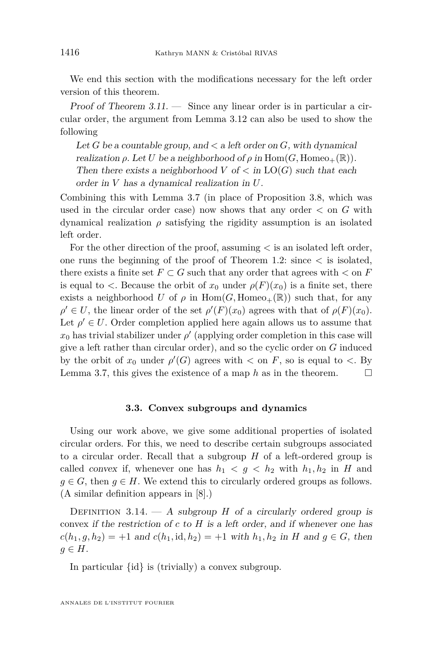We end this section with the modifications necessary for the left order version of this theorem.

Proof of Theorem  $3.11$ .  $-$  Since any linear order is in particular a circular order, the argument from Lemma [3.12](#page-15-2) can also be used to show the following

Let *G* be a countable group, and  $\lt$  a left order on *G*, with dynamical realization  $\rho$ . Let *U* be a neighborhood of  $\rho$  in Hom $(G, \text{Homeo}_+(\mathbb{R}))$ . Then there exists a neighborhood  $V$  of  $\lt$  in  $LO(G)$  such that each order in *V* has a dynamical realization in *U*.

Combining this with Lemma [3.7](#page-11-1) (in place of Proposition [3.8,](#page-12-0) which was used in the circular order case) now shows that any order  $\lt$  on  $G$  with dynamical realization  $\rho$  satisfying the rigidity assumption is an isolated left order.

For the other direction of the proof, assuming *<* is an isolated left order, one runs the beginning of the proof of Theorem [1.2:](#page-3-0) since *<* is isolated, there exists a finite set  $F \subset G$  such that any order that agrees with  $\lt$  on  $F$ is equal to  $\lt$ . Because the orbit of  $x_0$  under  $\rho(F)(x_0)$  is a finite set, there exists a neighborhood *U* of  $\rho$  in Hom(*G*, Homeo<sub>+</sub>(R)) such that, for any  $\rho' \in U$ , the linear order of the set  $\rho'(F)(x_0)$  agrees with that of  $\rho(F)(x_0)$ . Let  $\rho' \in U$ . Order completion applied here again allows us to assume that  $x_0$  has trivial stabilizer under  $\rho'$  (applying order completion in this case will give a left rather than circular order), and so the cyclic order on *G* induced by the orbit of  $x_0$  under  $\rho'(G)$  agrees with  $\lt$  on  $F$ , so is equal to  $\lt$ . By Lemma [3.7,](#page-11-1) this gives the existence of a map  $h$  as in the theorem.  $\Box$ 

#### **3.3. Convex subgroups and dynamics**

Using our work above, we give some additional properties of isolated circular orders. For this, we need to describe certain subgroups associated to a circular order. Recall that a subgroup *H* of a left-ordered group is called convex if, whenever one has  $h_1 < g < h_2$  with  $h_1, h_2$  in *H* and  $g \in G$ , then  $g \in H$ . We extend this to circularly ordered groups as follows. (A similar definition appears in [\[8\]](#page-46-8).)

DEFINITION  $3.14. - A$  subgroup *H* of a circularly ordered group is convex if the restriction of *c* to *H* is a left order, and if whenever one has  $c(h_1, g, h_2) = +1$  and  $c(h_1, id, h_2) = +1$  with  $h_1, h_2$  in *H* and  $g \in G$ , then  $q \in H$ .

In particular {id} is (trivially) a convex subgroup.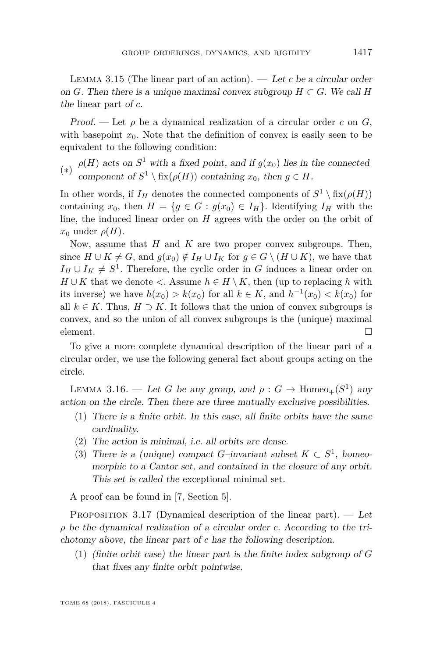<span id="page-19-0"></span>LEMMA 3.15 (The linear part of an action).  $\overline{C}$  Let *c* be a circular order on *G*. Then there is a unique maximal convex subgroup  $H \subset G$ . We call *H* the linear part of *c*.

Proof. — Let  $\rho$  be a dynamical realization of a circular order c on G, with basepoint  $x_0$ . Note that the definition of convex is easily seen to be equivalent to the following condition:

(∗)  $\rho(H)$  acts on  $S^1$  with a fixed point, and if  $g(x_0)$  lies in the connected component of  $S^1 \setminus fix(\rho(H))$  containing  $x_0$ , then  $g \in H$ .

In other words, if  $I_H$  denotes the connected components of  $S^1 \setminus \text{fix}(\rho(H))$ containing  $x_0$ , then  $H = \{g \in G : g(x_0) \in I_H\}$ . Identifying  $I_H$  with the line, the induced linear order on *H* agrees with the order on the orbit of  $x_0$  under  $\rho(H)$ .

Now, assume that *H* and *K* are two proper convex subgroups. Then, since  $H \cup K \neq G$ , and  $g(x_0) \notin I_H \cup I_K$  for  $g \in G \setminus (H \cup K)$ , we have that  $I_H \cup I_K \neq S^1$ . Therefore, the cyclic order in *G* induces a linear order on *H* ∪ *K* that we denote  $\lt$ . Assume  $h \in H \setminus K$ , then (up to replacing *h* with its inverse) we have  $h(x_0) > k(x_0)$  for all  $k \in K$ , and  $h^{-1}(x_0) < k(x_0)$  for all  $k \in K$ . Thus,  $H \supset K$ . It follows that the union of convex subgroups is convex, and so the union of all convex subgroups is the (unique) maximal element.  $\Box$ 

To give a more complete dynamical description of the linear part of a circular order, we use the following general fact about groups acting on the circle.

<span id="page-19-2"></span>LEMMA 3.16. — Let *G* be any group, and  $\rho : G \to \text{Homeo}_+(S^1)$  any action on the circle. Then there are three mutually exclusive possibilities.

- (1) There is a finite orbit. In this case, all finite orbits have the same cardinality.
- (2) The action is minimal, i.e. all orbits are dense.
- (3) There is a (unique) compact *G*-invariant subset  $K \subset S^1$ , homeomorphic to a Cantor set, and contained in the closure of any orbit. This set is called the exceptional minimal set.

A proof can be found in [\[7,](#page-46-6) Section 5].

<span id="page-19-1"></span>PROPOSITION 3.17 (Dynamical description of the linear part).  $-$  Let *ρ* be the dynamical realization of a circular order *c*. According to the trichotomy above, the linear part of *c* has the following description.

(1) (finite orbit case) the linear part is the finite index subgroup of *G* that fixes any finite orbit pointwise.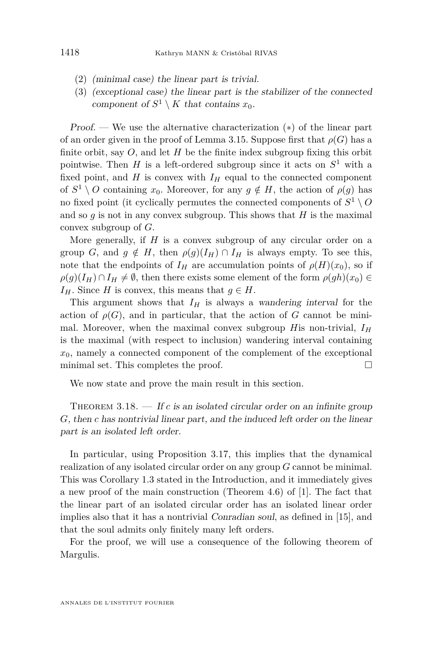- (2) (minimal case) the linear part is trivial.
- (3) (exceptional case) the linear part is the stabilizer of the connected component of  $S^1 \setminus K$  that contains  $x_0$ .

Proof. — We use the alternative characterization  $(*)$  of the linear part of an order given in the proof of Lemma [3.15.](#page-19-0) Suppose first that  $\rho(G)$  has a finite orbit, say *O*, and let *H* be the finite index subgroup fixing this orbit pointwise. Then  $H$  is a left-ordered subgroup since it acts on  $S^1$  with a fixed point, and  $H$  is convex with  $I_H$  equal to the connected component of  $S^1 \setminus O$  containing  $x_0$ . Moreover, for any  $g \notin H$ , the action of  $\rho(g)$  has no fixed point (it cyclically permutes the connected components of  $S^1 \setminus O$ and so  $g$  is not in any convex subgroup. This shows that  $H$  is the maximal convex subgroup of *G*.

More generally, if *H* is a convex subgroup of any circular order on a group *G*, and  $g \notin H$ , then  $\rho(g)(I_H) \cap I_H$  is always empty. To see this, note that the endpoints of  $I_H$  are accumulation points of  $\rho(H)(x_0)$ , so if  $\rho(g)(I_H) \cap I_H \neq \emptyset$ , then there exists some element of the form  $\rho(gh)(x_0) \in$ *I*<sup>H</sup>. Since *H* is convex, this means that  $g \in H$ .

This argument shows that  $I_H$  is always a wandering interval for the action of  $\rho(G)$ , and in particular, that the action of *G* cannot be minimal. Moreover, when the maximal convex subgroup *H*is non-trivial, *I<sup>H</sup>* is the maximal (with respect to inclusion) wandering interval containing  $x_0$ , namely a connected component of the complement of the exceptional minimal set. This completes the proof.  $\Box$ 

We now state and prove the main result in this section.

<span id="page-20-0"></span>THEOREM  $3.18.$  – If *c* is an isolated circular order on an infinite group *G*, then *c* has nontrivial linear part, and the induced left order on the linear part is an isolated left order.

In particular, using Proposition [3.17,](#page-19-1) this implies that the dynamical realization of any isolated circular order on any group *G* cannot be minimal. This was Corollary [1.3](#page-4-2) stated in the Introduction, and it immediately gives a new proof of the main construction (Theorem 4.6) of [\[1\]](#page-46-3). The fact that the linear part of an isolated circular order has an isolated linear order implies also that it has a nontrivial Conradian soul, as defined in [\[15\]](#page-46-2), and that the soul admits only finitely many left orders.

For the proof, we will use a consequence of the following theorem of Margulis.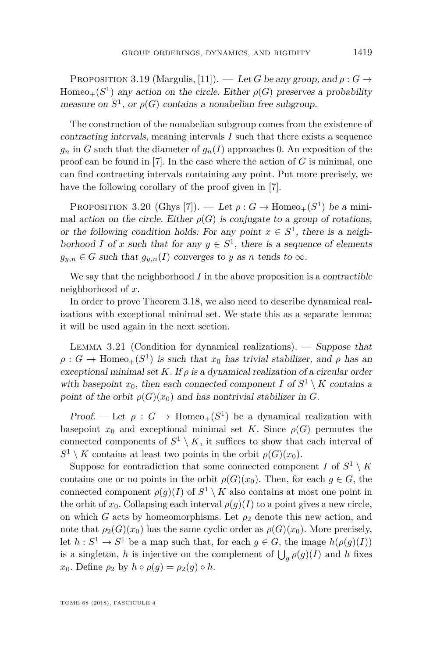PROPOSITION 3.19 (Margulis, [\[11\]](#page-46-9)). — Let *G* be any group, and  $\rho: G \rightarrow$  $Homeo_+(S^1)$  any action on the circle. Either  $\rho(G)$  preserves a probability measure on  $S^1$ , or  $\rho(G)$  contains a nonabelian free subgroup.

The construction of the nonabelian subgroup comes from the existence of contracting intervals, meaning intervals *I* such that there exists a sequence  $g_n$  in *G* such that the diameter of  $g_n(I)$  approaches 0. An exposition of the proof can be found in [\[7\]](#page-46-6). In the case where the action of *G* is minimal, one can find contracting intervals containing any point. Put more precisely, we have the following corollary of the proof given in [\[7\]](#page-46-6).

<span id="page-21-1"></span>PROPOSITION 3.20 (Ghys [\[7\]](#page-46-6)). — Let  $\rho: G \to \text{Homeo}_+(S^1)$  be a minimal action on the circle. Either  $\rho(G)$  is conjugate to a group of rotations, or the following condition holds: For any point  $x \in S^1$ , there is a neighborhood *I* of *x* such that for any  $y \in S^1$ , there is a sequence of elements  $g_{y,n} \in G$  such that  $g_{y,n}(I)$  converges to *y* as *n* tends to  $\infty$ .

We say that the neighborhood  $I$  in the above proposition is a *contractible* neighborhood of *x*.

In order to prove Theorem [3.18,](#page-20-0) we also need to describe dynamical realizations with exceptional minimal set. We state this as a separate lemma; it will be used again in the next section.

<span id="page-21-0"></span>LEMMA 3.21 (Condition for dynamical realizations). — Suppose that  $\rho: G \to \text{Homeo}_+(S^1)$  is such that  $x_0$  has trivial stabilizer, and  $\rho$  has an exceptional minimal set  $K$ . If  $\rho$  is a dynamical realization of a circular order with basepoint  $x_0$ , then each connected component *I* of  $S^1 \setminus K$  contains a point of the orbit  $\rho(G)(x_0)$  and has nontrivial stabilizer in *G*.

Proof. — Let  $\rho: G \to \text{Homeo}_+(S^1)$  be a dynamical realization with basepoint  $x_0$  and exceptional minimal set *K*. Since  $\rho(G)$  permutes the connected components of  $S^1 \setminus K$ , it suffices to show that each interval of  $S^1 \setminus K$  contains at least two points in the orbit  $\rho(G)(x_0)$ .

Suppose for contradiction that some connected component *I* of  $S^1 \setminus K$ contains one or no points in the orbit  $\rho(G)(x_0)$ . Then, for each  $g \in G$ , the connected component  $\rho(g)(I)$  of  $S^1 \setminus K$  also contains at most one point in the orbit of  $x_0$ . Collapsing each interval  $\rho(g)(I)$  to a point gives a new circle, on which *G* acts by homeomorphisms. Let  $\rho_2$  denote this new action, and note that  $\rho_2(G)(x_0)$  has the same cyclic order as  $\rho(G)(x_0)$ . More precisely, let  $h: S^1 \to S^1$  be a map such that, for each  $g \in G$ , the image  $h(\rho(g)(I))$ is a singleton, *h* is injective on the complement of  $\bigcup_{g} \rho(g)(I)$  and *h* fixes *x*<sub>0</sub>. Define  $\rho_2$  by  $h \circ \rho(g) = \rho_2(g) \circ h$ .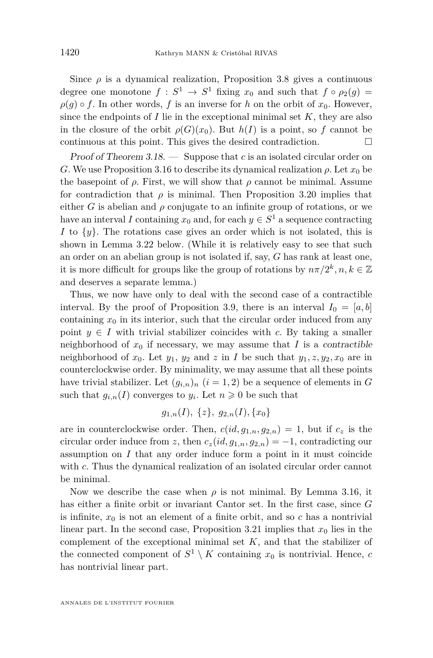Since  $\rho$  is a dynamical realization, Proposition [3.8](#page-12-0) gives a continuous degree one monotone  $f: S^1 \to S^1$  fixing  $x_0$  and such that  $f \circ \rho_2(g) =$  $\rho(q) \circ f$ . In other words, *f* is an inverse for *h* on the orbit of  $x_0$ . However, since the endpoints of  $I$  lie in the exceptional minimal set  $K$ , they are also in the closure of the orbit  $\rho(G)(x_0)$ . But  $h(I)$  is a point, so f cannot be continuous at this point. This gives the desired contradiction.  $\Box$ 

Proof of Theorem [3.18.](#page-20-0) — Suppose that *c* is an isolated circular order on *G*. We use Proposition [3.16](#page-19-2) to describe its dynamical realization  $\rho$ . Let  $x_0$  be the basepoint of  $\rho$ . First, we will show that  $\rho$  cannot be minimal. Assume for contradiction that  $\rho$  is minimal. Then Proposition [3.20](#page-21-1) implies that either *G* is abelian and  $\rho$  conjugate to an infinite group of rotations, or we have an interval *I* containing  $x_0$  and, for each  $y \in S^1$  a sequence contracting *I* to {*y*}. The rotations case gives an order which is not isolated, this is shown in Lemma [3.22](#page-23-0) below. (While it is relatively easy to see that such an order on an abelian group is not isolated if, say, *G* has rank at least one, it is more difficult for groups like the group of rotations by  $n\pi/2^k, n, k \in \mathbb{Z}$ and deserves a separate lemma.)

Thus, we now have only to deal with the second case of a contractible interval. By the proof of Proposition [3.9,](#page-13-2) there is an interval  $I_0 = [a, b]$ containing  $x_0$  in its interior, such that the circular order induced from any point  $y \in I$  with trivial stabilizer coincides with c. By taking a smaller neighborhood of  $x_0$  if necessary, we may assume that  $I$  is a contractible neighborhood of  $x_0$ . Let  $y_1, y_2$  and  $z$  in *I* be such that  $y_1, z, y_2, x_0$  are in counterclockwise order. By minimality, we may assume that all these points have trivial stabilizer. Let  $(g_{i,n})_n$   $(i = 1, 2)$  be a sequence of elements in *G* such that  $g_{i,n}(I)$  converges to  $y_i$ . Let  $n \geq 0$  be such that

$$
g_{1,n}(I), \{z\}, g_{2,n}(I), \{x_0\}
$$

are in counterclockwise order. Then,  $c(id, g_{1,n}, g_{2,n}) = 1$ , but if  $c_z$  is the circular order induce from *z*, then  $c_z(id, g_{1,n}, g_{2,n}) = -1$ , contradicting our assumption on *I* that any order induce form a point in it must coincide with *c*. Thus the dynamical realization of an isolated circular order cannot be minimal.

Now we describe the case when  $\rho$  is not minimal. By Lemma [3.16,](#page-19-2) it has either a finite orbit or invariant Cantor set. In the first case, since *G* is infinite,  $x_0$  is not an element of a finite orbit, and so c has a nontrivial linear part. In the second case, Proposition [3.21](#page-21-0) implies that  $x_0$  lies in the complement of the exceptional minimal set *K*, and that the stabilizer of the connected component of  $S^1 \setminus K$  containing  $x_0$  is nontrivial. Hence, *c* has nontrivial linear part.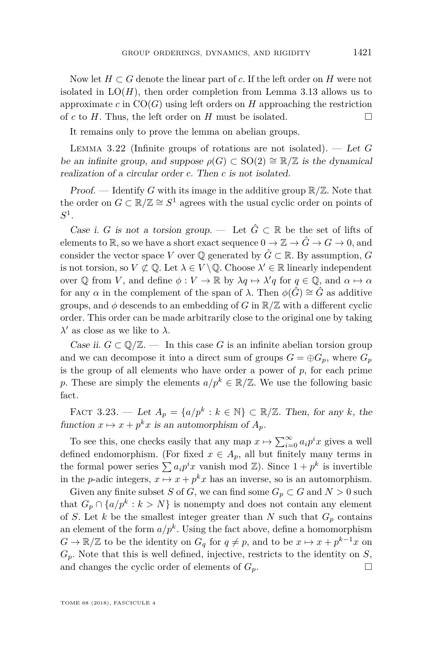Now let  $H \subset G$  denote the linear part of c. If the left order on H were not isolated in  $LO(H)$ , then order completion from Lemma [3.13](#page-17-0) allows us to approximate  $c$  in  $CO(G)$  using left orders on *H* approaching the restriction of *c* to *H*. Thus, the left order on *H* must be isolated.

It remains only to prove the lemma on abelian groups.

<span id="page-23-0"></span>Lemma 3.22 (Infinite groups of rotations are not isolated). — Let *G* be an infinite group, and suppose  $\rho(G) \subset SO(2) \cong \mathbb{R}/\mathbb{Z}$  is the dynamical realization of a circular order *c*. Then *c* is not isolated.

**Proof.** — Identify G with its image in the additive group  $\mathbb{R}/\mathbb{Z}$ . Note that the order on  $G \subset \mathbb{R}/\mathbb{Z} \cong S^1$  agrees with the usual cyclic order on points of  $S^1$ .

Case i. *G* is not a torsion group. — Let  $\hat{G} \subset \mathbb{R}$  be the set of lifts of elements to R, so we have a short exact sequence  $0 \to \mathbb{Z} \to \hat{G} \to G \to 0$ , and consider the vector space *V* over  $\mathbb{Q}$  generated by  $\hat{G} \subset \mathbb{R}$ . By assumption, *G* is not torsion, so  $V \not\subset \mathbb{Q}$ . Let  $\lambda \in V \setminus \mathbb{Q}$ . Choose  $\lambda' \in \mathbb{R}$  linearly independent over  $\mathbb Q$  from *V*, and define  $\phi: V \to \mathbb R$  by  $\lambda q \mapsto \lambda' q$  for  $q \in \mathbb Q$ , and  $\alpha \mapsto \alpha$ for any  $\alpha$  in the complement of the span of  $\lambda$ . Then  $\phi(\hat{G}) \cong \hat{G}$  as additive groups, and  $\phi$  descends to an embedding of *G* in  $\mathbb{R}/\mathbb{Z}$  with a different cyclic order. This order can be made arbitrarily close to the original one by taking  $\lambda'$  as close as we like to  $\lambda$ .

*Case ii.*  $G \subset \mathbb{Q}/\mathbb{Z}$ . — In this case G is an infinite abelian torsion group and we can decompose it into a direct sum of groups  $G = \bigoplus G_p$ , where  $G_p$ is the group of all elements who have order a power of *p*, for each prime *p*. These are simply the elements  $a/p^k \in \mathbb{R}/\mathbb{Z}$ . We use the following basic fact.

FACT 3.23. — Let  $A_p = \{a/p^k : k \in \mathbb{N}\}\subset \mathbb{R}/\mathbb{Z}$ . Then, for any *k*, the function  $x \mapsto x + p^k x$  is an automorphism of  $A_p$ .

To see this, one checks easily that any map  $x \mapsto \sum_{i=0}^{\infty} a_i p^i x$  gives a well defined endomorphism. (For fixed  $x \in A_p$ , all but finitely many terms in the formal power series  $\sum a_i p^i x$  vanish mod  $\mathbb{Z}$ ). Since  $1 + p^k$  is invertible in the *p*-adic integers,  $x \mapsto x + p^k x$  has an inverse, so is an automorphism.

Given any finite subset *S* of *G*, we can find some  $G_p \subset G$  and  $N > 0$  such that  $G_p \cap \{a/p^k : k > N\}$  is nonempty and does not contain any element of *S*. Let *k* be the smallest integer greater than *N* such that  $G_p$  contains an element of the form  $a/p^k$ . Using the fact above, define a homomorphism  $G \to \mathbb{R}/\mathbb{Z}$  to be the identity on  $G_q$  for  $q \neq p$ , and to be  $x \mapsto x + p^{k-1}x$  on *Gp*. Note that this is well defined, injective, restricts to the identity on *S*, and changes the cyclic order of elements of  $G_p$ .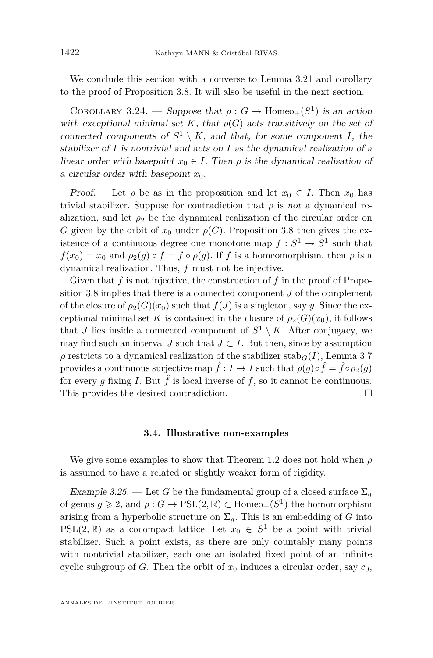We conclude this section with a converse to Lemma [3.21](#page-21-0) and corollary to the proof of Proposition [3.8.](#page-12-0) It will also be useful in the next section.

<span id="page-24-1"></span>COROLLARY 3.24. — Suppose that  $\rho: G \to \text{Homeo}_+(S^1)$  is an action with exceptional minimal set K, that  $\rho(G)$  acts transitively on the set of connected components of  $S^1 \setminus K$ , and that, for some component *I*, the stabilizer of *I* is nontrivial and acts on *I* as the dynamical realization of a linear order with basepoint  $x_0 \in I$ . Then  $\rho$  is the dynamical realization of a circular order with basepoint  $x_0$ .

Proof. — Let  $\rho$  be as in the proposition and let  $x_0 \in I$ . Then  $x_0$  has trivial stabilizer. Suppose for contradiction that  $\rho$  is not a dynamical realization, and let  $\rho_2$  be the dynamical realization of the circular order on *G* given by the orbit of  $x_0$  under  $\rho(G)$ . Proposition [3.8](#page-12-0) then gives the existence of a continuous degree one monotone map  $f: S^1 \to S^1$  such that  $f(x_0) = x_0$  and  $\rho_2(q) \circ f = f \circ \rho(q)$ . If *f* is a homeomorphism, then  $\rho$  is a dynamical realization. Thus, *f* must not be injective.

Given that f is not injective, the construction of f in the proof of Proposition [3.8](#page-12-0) implies that there is a connected component *J* of the complement of the closure of  $\rho_2(G)(x_0)$  such that  $f(J)$  is a singleton, say *y*. Since the exceptional minimal set *K* is contained in the closure of  $\rho_2(G)(x_0)$ , it follows that *J* lies inside a connected component of  $S^1 \setminus K$ . After conjugacy, we may find such an interval *J* such that  $J \subset I$ . But then, since by assumption *ρ* restricts to a dynamical realization of the stabilizer stab*G*(*I*), Lemma [3.7](#page-11-1) provides a continuous surjective map  $\hat{f}: I \to I$  such that  $\rho(g) \circ \hat{f} = \hat{f} \circ \rho_2(g)$ for every *q* fixing *I*. But  $\hat{f}$  is local inverse of *f*, so it cannot be continuous. This provides the desired contradiction.

#### **3.4. Illustrative non-examples**

We give some examples to show that Theorem [1.2](#page-3-0) does not hold when *ρ* is assumed to have a related or slightly weaker form of rigidity.

<span id="page-24-0"></span>Example 3.25. — Let G be the fundamental group of a closed surface  $\Sigma_q$ of genus  $g \ge 2$ , and  $\rho : G \to \text{PSL}(2, \mathbb{R}) \subset \text{Homeo}_+(S^1)$  the homomorphism arising from a hyperbolic structure on  $\Sigma_q$ . This is an embedding of *G* into PSL(2, R) as a cocompact lattice. Let  $x_0 \in S^1$  be a point with trivial stabilizer. Such a point exists, as there are only countably many points with nontrivial stabilizer, each one an isolated fixed point of an infinite cyclic subgroup of *G*. Then the orbit of  $x_0$  induces a circular order, say  $c_0$ ,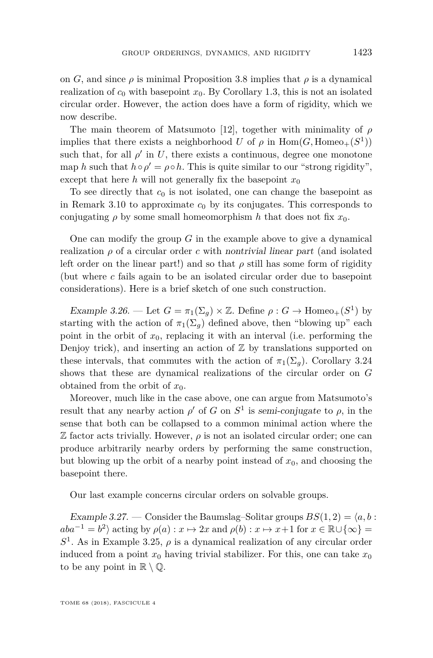on *G*, and since  $\rho$  is minimal Proposition [3.8](#page-12-0) implies that  $\rho$  is a dynamical realization of  $c_0$  with basepoint  $x_0$ . By Corollary [1.3,](#page-4-2) this is not an isolated circular order. However, the action does have a form of rigidity, which we now describe.

The main theorem of Matsumoto [\[12\]](#page-46-10), together with minimality of *ρ* implies that there exists a neighborhood *U* of  $\rho$  in  $Hom(G, Homeo_+(S^1))$ such that, for all  $\rho'$  in *U*, there exists a continuous, degree one monotone map *h* such that  $h \circ \rho' = \rho \circ h$ . This is quite similar to our "strong rigidity", except that here *h* will not generally fix the basepoint  $x_0$ 

To see directly that  $c_0$  is not isolated, one can change the basepoint as in Remark [3.10](#page-14-0) to approximate  $c_0$  by its conjugates. This corresponds to conjugating  $\rho$  by some small homeomorphism  $h$  that does not fix  $x_0$ .

One can modify the group *G* in the example above to give a dynamical realization  $\rho$  of a circular order *c* with nontrivial linear part (and isolated left order on the linear part!) and so that  $\rho$  still has some form of rigidity (but where *c* fails again to be an isolated circular order due to basepoint considerations). Here is a brief sketch of one such construction.

Example 3.26. — Let  $G = \pi_1(\Sigma_g) \times \mathbb{Z}$ . Define  $\rho : G \to \text{Homeo}_+(S^1)$  by starting with the action of  $\pi_1(\Sigma_q)$  defined above, then "blowing up" each point in the orbit of  $x_0$ , replacing it with an interval (i.e. performing the Denjoy trick), and inserting an action of  $Z$  by translations supported on these intervals, that commutes with the action of  $\pi_1(\Sigma_q)$ . Corollary [3.24](#page-24-1) shows that these are dynamical realizations of the circular order on *G* obtained from the orbit of *x*0.

Moreover, much like in the case above, one can argue from Matsumoto's result that any nearby action  $\rho'$  of *G* on  $S^1$  is semi-conjugate to  $\rho$ , in the sense that both can be collapsed to a common minimal action where the  $\mathbb Z$  factor acts trivially. However,  $\rho$  is not an isolated circular order; one can produce arbitrarily nearby orders by performing the same construction, but blowing up the orbit of a nearby point instead of  $x<sub>0</sub>$ , and choosing the basepoint there.

Our last example concerns circular orders on solvable groups.

<span id="page-25-0"></span>Example 3.27. — Consider the Baumslag–Solitar groups  $BS(1, 2) = \langle a, b \rangle$ :  $aba^{-1} = b^2$  acting by  $\rho(a) : x \mapsto 2x$  and  $\rho(b) : x \mapsto x+1$  for  $x \in \mathbb{R} \cup \{\infty\}$  $S<sup>1</sup>$ . As in Example [3.25,](#page-24-0)  $\rho$  is a dynamical realization of any circular order induced from a point  $x_0$  having trivial stabilizer. For this, one can take  $x_0$ to be any point in  $\mathbb{R} \setminus \mathbb{Q}$ .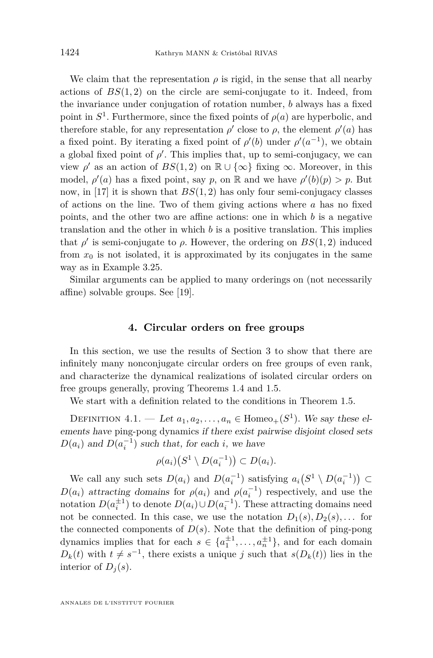We claim that the representation  $\rho$  is rigid, in the sense that all nearby actions of  $BS(1, 2)$  on the circle are semi-conjugate to it. Indeed, from the invariance under conjugation of rotation number, *b* always has a fixed point in  $S^1$ . Furthermore, since the fixed points of  $\rho(a)$  are hyperbolic, and therefore stable, for any representation  $\rho'$  close to  $\rho$ , the element  $\rho'(a)$  has a fixed point. By iterating a fixed point of  $\rho'(b)$  under  $\rho'(a^{-1})$ , we obtain a global fixed point of  $\rho'$ . This implies that, up to semi-conjugacy, we can view  $\rho'$  as an action of  $BS(1, 2)$  on  $\mathbb{R} \cup {\infty}$  fixing  $\infty$ . Moreover, in this model,  $\rho'(a)$  has a fixed point, say *p*, on R and we have  $\rho'(b)(p) > p$ . But now, in [\[17\]](#page-47-5) it is shown that *BS*(1*,* 2) has only four semi-conjugacy classes of actions on the line. Two of them giving actions where *a* has no fixed points, and the other two are affine actions: one in which *b* is a negative translation and the other in which *b* is a positive translation. This implies that  $\rho'$  is semi-conjugate to  $\rho$ . However, the ordering on  $BS(1, 2)$  induced from  $x_0$  is not isolated, it is approximated by its conjugates in the same way as in Example [3.25.](#page-24-0)

Similar arguments can be applied to many orderings on (not necessarily affine) solvable groups. See [\[19\]](#page-47-3).

#### **4. Circular orders on free groups**

<span id="page-26-0"></span>In this section, we use the results of Section [3](#page-8-1) to show that there are infinitely many nonconjugate circular orders on free groups of even rank, and characterize the dynamical realizations of isolated circular orders on free groups generally, proving Theorems [1.4](#page-4-1) and [1.5.](#page-4-0)

We start with a definition related to the conditions in Theorem [1.5.](#page-4-0)

DEFINITION  $4.1.$  — Let  $a_1, a_2, \ldots, a_n \in \text{Homeo}_+(S^1)$ . We say these elements have ping-pong dynamics if there exist pairwise disjoint closed sets  $D(a_i)$  and  $D(a_i^{-1})$  such that, for each *i*, we have

$$
\rho(a_i)\big(S^1 \setminus D(a_i^{-1})\big) \subset D(a_i).
$$

We call any such sets  $D(a_i)$  and  $D(a_i^{-1})$  satisfying  $a_i(S^1 \setminus D(a_i^{-1})) \subset$ *D*(*a*<sub>*i*</sub>) attracting domains for  $\rho(a_i)$  and  $\rho(a_i^{-1})$  respectively, and use the notation  $D(a_i^{\pm 1})$  to denote  $D(a_i) \cup D(a_i^{-1})$ . These attracting domains need not be connected. In this case, we use the notation  $D_1(s), D_2(s), \ldots$  for the connected components of  $D(s)$ . Note that the definition of ping-pong dynamics implies that for each  $s \in \{a_1^{\pm 1}, \ldots, a_n^{\pm 1}\}$ , and for each domain  $D_k(t)$  with  $t \neq s^{-1}$ , there exists a unique *j* such that  $s(D_k(t))$  lies in the interior of  $D_i(s)$ .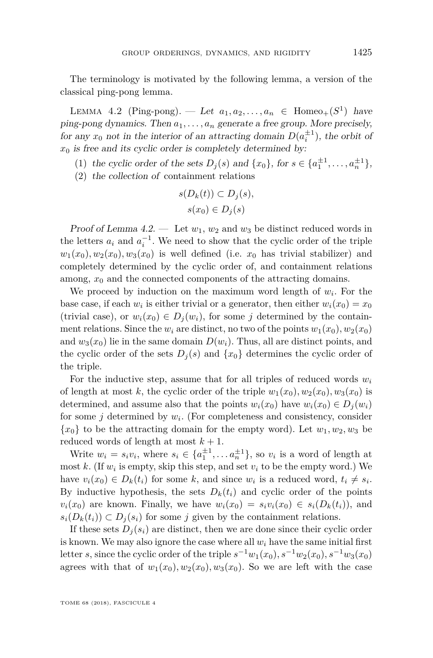The terminology is motivated by the following lemma, a version of the classical ping-pong lemma.

<span id="page-27-0"></span>LEMMA 4.2 (Ping-pong). — Let  $a_1, a_2, \ldots, a_n \in \text{Homeo}_+(S^1)$  have ping-pong dynamics. Then  $a_1, \ldots, a_n$  generate a free group. More precisely, for any  $x_0$  not in the interior of an attracting domain  $D(a_i^{\pm 1})$ , the orbit of  $x<sub>0</sub>$  is free and its cyclic order is completely determined by:

- (1) the cyclic order of the sets  $D_j(s)$  and  $\{x_0\}$ , for  $s \in \{a_1^{\pm 1}, \dots, a_n^{\pm 1}\}$ ,
- (2) the collection of containment relations

$$
s(D_k(t)) \subset D_j(s),
$$
  

$$
s(x_0) \in D_j(s)
$$

Proof of Lemma [4.2.](#page-27-0) — Let  $w_1, w_2$  and  $w_3$  be distinct reduced words in the letters  $a_i$  and  $a_i^{-1}$ . We need to show that the cyclic order of the triple  $w_1(x_0), w_2(x_0), w_3(x_0)$  is well defined (i.e.  $x_0$  has trivial stabilizer) and completely determined by the cyclic order of, and containment relations among,  $x_0$  and the connected components of the attracting domains.

We proceed by induction on the maximum word length of  $w_i$ . For the base case, if each  $w_i$  is either trivial or a generator, then either  $w_i(x_0) = x_0$ (trivial case), or  $w_i(x_0) \in D_i(w_i)$ , for some *j* determined by the containment relations. Since the  $w_i$  are distinct, no two of the points  $w_1(x_0), w_2(x_0)$ and  $w_3(x_0)$  lie in the same domain  $D(w_i)$ . Thus, all are distinct points, and the cyclic order of the sets  $D_j(s)$  and  $\{x_0\}$  determines the cyclic order of the triple.

For the inductive step, assume that for all triples of reduced words *w<sup>i</sup>* of length at most k, the cyclic order of the triple  $w_1(x_0), w_2(x_0), w_3(x_0)$  is determined, and assume also that the points  $w_i(x_0)$  have  $w_i(x_0) \in D_i(w_i)$ for some *j* determined by *w<sup>i</sup>* . (For completeness and consistency, consider  ${x_0}$  to be the attracting domain for the empty word). Let  $w_1, w_2, w_3$  be reduced words of length at most  $k + 1$ .

Write  $w_i = s_i v_i$ , where  $s_i \in \{a_1^{\pm 1}, \ldots a_n^{\pm 1}\}$ , so  $v_i$  is a word of length at most  $k$ . (If  $w_i$  is empty, skip this step, and set  $v_i$  to be the empty word.) We have  $v_i(x_0) \in D_k(t_i)$  for some k, and since  $w_i$  is a reduced word,  $t_i \neq s_i$ . By inductive hypothesis, the sets  $D_k(t_i)$  and cyclic order of the points  $v_i(x_0)$  are known. Finally, we have  $w_i(x_0) = s_i v_i(x_0) \in s_i(D_k(t_i))$ , and  $s_i(D_k(t_i)) \subset D_i(s_i)$  for some *j* given by the containment relations.

If these sets  $D_i(s_i)$  are distinct, then we are done since their cyclic order is known. We may also ignore the case where all  $w_i$  have the same initial first letter *s*, since the cyclic order of the triple  $s^{-1}w_1(x_0)$ ,  $s^{-1}w_2(x_0)$ ,  $s^{-1}w_3(x_0)$ agrees with that of  $w_1(x_0), w_2(x_0), w_3(x_0)$ . So we are left with the case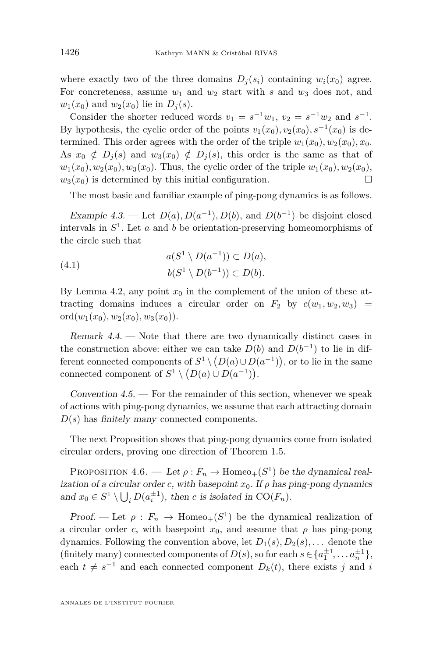where exactly two of the three domains  $D_i(s_i)$  containing  $w_i(x_0)$  agree. For concreteness, assume  $w_1$  and  $w_2$  start with *s* and  $w_3$  does not, and  $w_1(x_0)$  and  $w_2(x_0)$  lie in  $D_i(s)$ .

Consider the shorter reduced words  $v_1 = s^{-1}w_1$ ,  $v_2 = s^{-1}w_2$  and  $s^{-1}$ . By hypothesis, the cyclic order of the points  $v_1(x_0), v_2(x_0), s^{-1}(x_0)$  is determined. This order agrees with the order of the triple  $w_1(x_0), w_2(x_0), x_0$ . As  $x_0 \notin D_i(s)$  and  $w_3(x_0) \notin D_i(s)$ , this order is the same as that of  $w_1(x_0), w_2(x_0), w_3(x_0)$ . Thus, the cyclic order of the triple  $w_1(x_0), w_2(x_0)$ ,  $w_3(x_0)$  is determined by this initial configuration.

The most basic and familiar example of ping-pong dynamics is as follows.

<span id="page-28-2"></span>Example 4.3. — Let  $D(a)$ ,  $D(a^{-1})$ ,  $D(b)$ , and  $D(b^{-1})$  be disjoint closed intervals in *S* 1 . Let *a* and *b* be orientation-preserving homeomorphisms of the circle such that

(4.1) 
$$
a(S^1 \setminus D(a^{-1})) \subset D(a),
$$

$$
b(S^1 \setminus D(b^{-1})) \subset D(b).
$$

By Lemma [4.2,](#page-27-0) any point  $x_0$  in the complement of the union of these attracting domains induces a circular order on  $F_2$  by  $c(w_1, w_2, w_3)$  = ord $(w_1(x_0), w_2(x_0), w_3(x_0))$ .

<span id="page-28-1"></span>Remark 4.4. — Note that there are two dynamically distinct cases in the construction above: either we can take  $D(b)$  and  $D(b^{-1})$  to lie in different connected components of  $S^1 \setminus (D(a) \cup D(a^{-1}))$ , or to lie in the same connected component of  $S^1 \setminus (D(a) \cup D(a^{-1}))$ .

Convention  $4.5.$  — For the remainder of this section, whenever we speak of actions with ping-pong dynamics, we assume that each attracting domain *D*(*s*) has finitely many connected components.

The next Proposition shows that ping-pong dynamics come from isolated circular orders, proving one direction of Theorem [1.5.](#page-4-0)

<span id="page-28-0"></span>PROPOSITION  $4.6.$  — Let  $\rho: F_n \to \text{Homeo}_+(S^1)$  be the dynamical realization of a circular order *c*, with basepoint  $x_0$ . If  $\rho$  has ping-pong dynamics and  $x_0 \in S^1 \setminus \bigcup_i D(a_i^{\pm 1})$ , then *c* is isolated in CO( $F_n$ ).

Proof. — Let  $\rho: F_n \to \text{Homeo}_+(S^1)$  be the dynamical realization of a circular order *c*, with basepoint  $x_0$ , and assume that  $\rho$  has ping-pong dynamics. Following the convention above, let  $D_1(s), D_2(s), \ldots$  denote the (finitely many) connected components of  $D(s)$ , so for each  $s \in \{a_1^{\pm 1}, \ldots, a_n^{\pm 1}\},$ each  $t \neq s^{-1}$  and each connected component  $D_k(t)$ , there exists *j* and *i*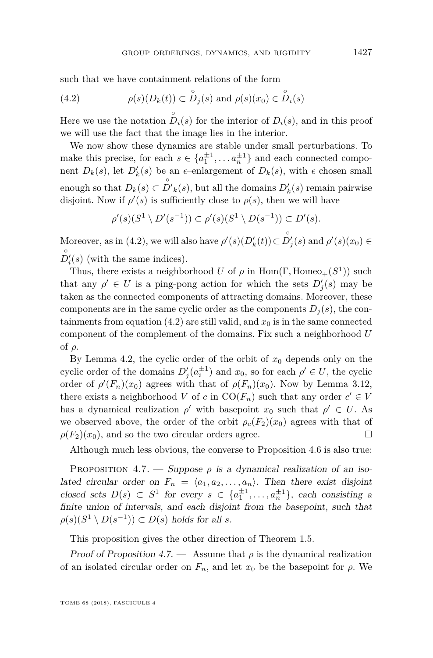such that we have containment relations of the form

<span id="page-29-0"></span>(4.2) 
$$
\rho(s)(D_k(t)) \subset \overset{\circ}{D}_j(s) \text{ and } \rho(s)(x_0) \in \overset{\circ}{D}_i(s)
$$

Here we use the notation  $\overset{\circ}{D}_i(s)$  for the interior of  $D_i(s)$ , and in this proof we will use the fact that the image lies in the interior.

We now show these dynamics are stable under small perturbations. To make this precise, for each  $s \in \{a_1^{\pm 1}, \ldots a_n^{\pm 1}\}\$  and each connected component  $D_k(s)$ , let  $D'_k(s)$  be an  $\epsilon$ -enlargement of  $D_k(s)$ , with  $\epsilon$  chosen small enough so that  $D_k(s) \subset \overset{\circ}{D'}_k(s)$ , but all the domains  $D'_k(s)$  remain pairwise disjoint. Now if  $\rho'(s)$  is sufficiently close to  $\rho(s)$ , then we will have

$$
\rho'(s)(S^1 \setminus D'(s^{-1})) \subset \rho'(s)(S^1 \setminus D(s^{-1})) \subset D'(s).
$$

Moreover, as in [\(4.2\)](#page-29-0), we will also have  $\rho'(s)(D'_k(t)) \subset \overset{\circ}{D'_j}(s)$  and  $\rho'(s)(x_0) \in$  $D_i'(s)$  (with the same indices).

Thus, there exists a neighborhood *U* of  $\rho$  in Hom( $\Gamma$ , Homeo<sub>+</sub>( $S$ <sup>1</sup>)) such that any  $\rho' \in U$  is a ping-pong action for which the sets  $D'_j(s)$  may be taken as the connected components of attracting domains. Moreover, these components are in the same cyclic order as the components  $D_i(s)$ , the con-tainments from equation [\(4.2\)](#page-29-0) are still valid, and  $x_0$  is in the same connected component of the complement of the domains. Fix such a neighborhood *U* of *ρ*.

By Lemma [4.2,](#page-27-0) the cyclic order of the orbit of  $x_0$  depends only on the cyclic order of the domains  $D'_{j}(a_i^{\pm 1})$  and  $x_0$ , so for each  $\rho' \in U$ , the cyclic order of  $\rho'(F_n)(x_0)$  agrees with that of  $\rho(F_n)(x_0)$ . Now by Lemma [3.12,](#page-15-2) there exists a neighborhood *V* of *c* in  $CO(F_n)$  such that any order  $c' \in V$ has a dynamical realization  $\rho'$  with basepoint  $x_0$  such that  $\rho' \in U$ . As we observed above, the order of the orbit  $\rho_c(F_2)(x_0)$  agrees with that of  $\rho(F_2)(x_0)$ , and so the two circular orders agree.

Although much less obvious, the converse to Proposition [4.6](#page-28-0) is also true:

<span id="page-29-1"></span>PROPOSITION  $4.7.$  — Suppose  $\rho$  is a dynamical realization of an isolated circular order on  $F_n = \langle a_1, a_2, \ldots, a_n \rangle$ . Then there exist disjoint closed sets  $D(s) \subset S^1$  for every  $s \in \{a_1^{\pm 1}, \ldots, a_n^{\pm 1}\}$ , each consisting a finite union of intervals, and each disjoint from the basepoint, such that  $\rho(s)(S^1 \setminus D(s^{-1})) \subset D(s)$  holds for all *s*.

This proposition gives the other direction of Theorem [1.5.](#page-4-0)

Proof of Proposition [4.7.](#page-29-1) — Assume that  $\rho$  is the dynamical realization of an isolated circular order on  $F_n$ , and let  $x_0$  be the basepoint for  $\rho$ . We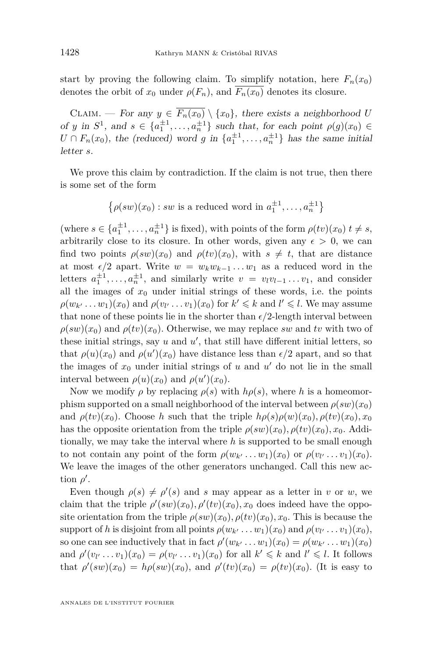start by proving the following claim. To simplify notation, here  $F_n(x_0)$ denotes the orbit of  $x_0$  under  $\rho(F_n)$ , and  $\overline{F_n(x_0)}$  denotes its closure.

CLAIM. — For any  $y \in \overline{F_n(x_0)} \setminus \{x_0\}$ , there exists a neighborhood *U* of *y* in  $S^1$ , and  $s \in \{a_1^{\pm 1}, \ldots, a_n^{\pm 1}\}$  such that, for each point  $\rho(g)(x_0) \in$  $U \cap F_n(x_0)$ , the (reduced) word *g* in  $\{a_1^{\pm 1}, \ldots, a_n^{\pm 1}\}\)$  has the same initial letter *s*.

We prove this claim by contradiction. If the claim is not true, then there is some set of the form

$$
\{\rho(sw)(x_0) : sw \text{ is a reduced word in } a_1^{\pm 1}, \dots, a_n^{\pm 1}\}
$$

(where  $s \in \{a_1^{\pm 1}, \ldots, a_n^{\pm 1}\}$  is fixed), with points of the form  $\rho(tv)(x_0)$   $t \neq s$ , arbitrarily close to its closure. In other words, given any  $\epsilon > 0$ , we can find two points  $\rho(sw)(x_0)$  and  $\rho(tv)(x_0)$ , with  $s \neq t$ , that are distance at most  $\epsilon/2$  apart. Write  $w = w_k w_{k-1} \ldots w_1$  as a reduced word in the letters  $a_1^{\pm 1}, \ldots, a_n^{\pm 1}$ , and similarly write  $v = v_l v_{l-1} \ldots v_1$ , and consider all the images of  $x_0$  under initial strings of these words, i.e. the points  $\rho(w_{k'}...w_1)(x_0)$  and  $\rho(v_{l'}...v_1)(x_0)$  for  $k' \leq k$  and  $l' \leq l$ . We may assume that none of these points lie in the shorter than  $\epsilon/2$ -length interval between  $\rho(sw)(x_0)$  and  $\rho(tv)(x_0)$ . Otherwise, we may replace *sw* and *tv* with two of these initial strings, say  $u$  and  $u'$ , that still have different initial letters, so that  $\rho(u)(x_0)$  and  $\rho(u')(x_0)$  have distance less than  $\epsilon/2$  apart, and so that the images of  $x_0$  under initial strings of  $u$  and  $u'$  do not lie in the small interval between  $\rho(u)(x_0)$  and  $\rho(u')(x_0)$ .

Now we modify  $\rho$  by replacing  $\rho(s)$  with  $h\rho(s)$ , where *h* is a homeomorphism supported on a small neighborhood of the interval between  $\rho(sw)(x_0)$ and  $\rho(tv)(x_0)$ . Choose *h* such that the triple  $h\rho(s)\rho(w)(x_0)$ ,  $\rho(tv)(x_0)$ ,  $x_0$ has the opposite orientation from the triple  $\rho(sw)(x_0), \rho(tv)(x_0), x_0$ . Additionally, we may take the interval where *h* is supported to be small enough to not contain any point of the form  $\rho(w_{k'}...w_1)(x_0)$  or  $\rho(v_{l'}...v_1)(x_0)$ . We leave the images of the other generators unchanged. Call this new action  $\rho'$ .

Even though  $\rho(s) \neq \rho'(s)$  and *s* may appear as a letter in *v* or *w*, we claim that the triple  $\rho'(sw)(x_0), \rho'(tv)(x_0), x_0$  does indeed have the opposite orientation from the triple  $\rho(sw)(x_0)$ ,  $\rho(tv)(x_0)$ ,  $x_0$ . This is because the support of *h* is disjoint from all points  $\rho(w_{k'} \ldots w_1)(x_0)$  and  $\rho(v_{l'} \ldots v_1)(x_0)$ , so one can see inductively that in fact  $\rho'(w_{k'} \dots w_1)(x_0) = \rho(w_{k'} \dots w_1)(x_0)$ and  $\rho'(v_l \ldots v_1)(x_0) = \rho(v_{l'} \ldots v_1)(x_0)$  for all  $k' \leq k$  and  $l' \leq l$ . It follows that  $\rho'(sw)(x_0) = h\rho(sw)(x_0)$ , and  $\rho'(tv)(x_0) = \rho(tv)(x_0)$ . (It is easy to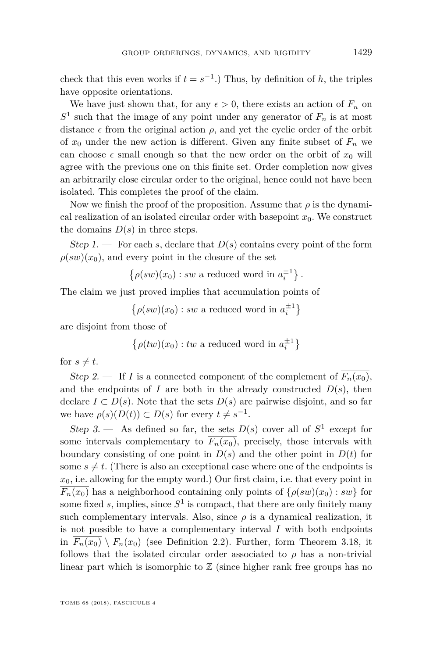check that this even works if  $t = s^{-1}$ .) Thus, by definition of *h*, the triples have opposite orientations.

We have just shown that, for any  $\epsilon > 0$ , there exists an action of  $F_n$  on  $S<sup>1</sup>$  such that the image of any point under any generator of  $F<sub>n</sub>$  is at most distance  $\epsilon$  from the original action  $\rho$ , and yet the cyclic order of the orbit of  $x_0$  under the new action is different. Given any finite subset of  $F_n$  we can choose  $\epsilon$  small enough so that the new order on the orbit of  $x_0$  will agree with the previous one on this finite set. Order completion now gives an arbitrarily close circular order to the original, hence could not have been isolated. This completes the proof of the claim.

Now we finish the proof of the proposition. Assume that  $\rho$  is the dynamical realization of an isolated circular order with basepoint  $x_0$ . We construct the domains  $D(s)$  in three steps.

Step 1. — For each *s*, declare that  $D(s)$  contains every point of the form  $\rho(sw)(x_0)$ , and every point in the closure of the set

 $\{\rho(sw)(x_0) : sw$  a reduced word in  $a_i^{\pm 1}\}$ .

The claim we just proved implies that accumulation points of

 $\{\rho(sw)(x_0): sw$  a reduced word in  $a_i^{\pm 1}\}$ 

are disjoint from those of

$$
\{\rho(tw)(x_0): tw \text{ a reduced word in } a_i^{\pm 1}\}\
$$

for  $s \neq t$ .

Step 2. — If *I* is a connected component of the complement of  $\overline{F_n(x_0)}$ , and the endpoints of *I* are both in the already constructed  $D(s)$ , then declare  $I \subset D(s)$ . Note that the sets  $D(s)$  are pairwise disjoint, and so far we have  $\rho(s)(D(t)) \subset D(s)$  for every  $t \neq s^{-1}$ .

Step 3. — As defined so far, the sets  $D(s)$  cover all of  $S^1$  except for some intervals complementary to  $\overline{F_n(x_0)}$ , precisely, those intervals with boundary consisting of one point in  $D(s)$  and the other point in  $D(t)$  for some  $s \neq t$ . (There is also an exceptional case where one of the endpoints is *x*0, i.e. allowing for the empty word.) Our first claim, i.e. that every point in  $\overline{F_n(x_0)}$  has a neighborhood containing only points of  $\{\rho(sw)(x_0): sw\}$  for some fixed  $s$ , implies, since  $S^1$  is compact, that there are only finitely many such complementary intervals. Also, since  $\rho$  is a dynamical realization, it is not possible to have a complementary interval *I* with both endpoints in  $F_n(x_0) \setminus F_n(x_0)$  (see Definition [2.2\)](#page-7-1). Further, form Theorem [3.18,](#page-20-0) it follows that the isolated circular order associated to  $\rho$  has a non-trivial linear part which is isomorphic to  $\mathbb Z$  (since higher rank free groups has no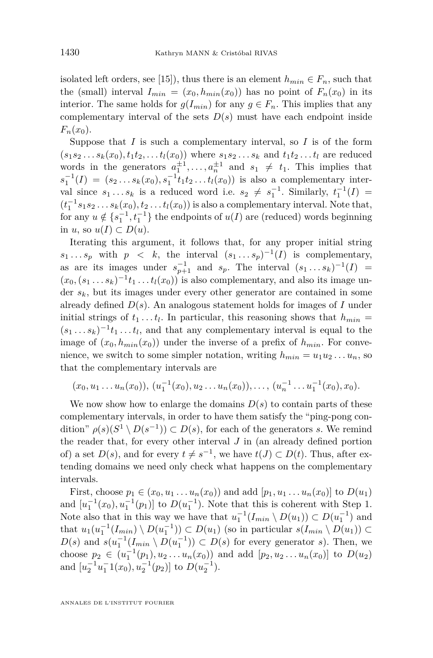isolated left orders, see [\[15\]](#page-46-2)), thus there is an element  $h_{min} \in F_n$ , such that the (small) interval  $I_{min} = (x_0, h_{min}(x_0))$  has no point of  $F_n(x_0)$  in its interior. The same holds for  $g(I_{min})$  for any  $g \in F_n$ . This implies that any complementary interval of the sets  $D(s)$  must have each endpoint inside  $F_n(x_0)$ .

Suppose that  $I$  is such a complementary interval, so  $I$  is of the form  $(s_1 s_2 \ldots s_k(x_0), t_1 t_2, \ldots t_l(x_0))$  where  $s_1 s_2 \ldots s_k$  and  $t_1 t_2 \ldots t_l$  are reduced words in the generators  $a_1^{\pm 1}, \ldots, a_n^{\pm 1}$  and  $s_1 \neq t_1$ . This implies that  $s_1^{-1}(I) = (s_2...s_k(x_0), s_1^{-1}t_1t_2...t_l(x_0))$  is also a complementary interval since  $s_1 \ldots s_k$  is a reduced word i.e.  $s_2 \neq s_1^{-1}$ . Similarly,  $t_1^{-1}(I)$  =  $(t_1^{-1}s_1s_2...s_k(x_0), t_2...t_l(x_0))$  is also a complementary interval. Note that, for any  $u \notin \{s_1^{-1}, t_1^{-1}\}$  the endpoints of  $u(I)$  are (reduced) words beginning in *u*, so  $u(I) \subset D(u)$ .

Iterating this argument, it follows that, for any proper initial string  $s_1 \ldots s_p$  with  $p \leq k$ , the interval  $(s_1 \ldots s_p)^{-1}(I)$  is complementary, as are its images under  $s_{p+1}^{-1}$  and  $s_p$ . The interval  $(s_1 \ldots s_k)^{-1}(I)$  =  $(x_0, (s_1 \ldots s_k)^{-1} t_1 \ldots t_l(x_0))$  is also complementary, and also its image under *sk*, but its images under every other generator are contained in some already defined *D*(*s*). An analogous statement holds for images of *I* under initial strings of  $t_1 \ldots t_l$ . In particular, this reasoning shows that  $h_{min} =$  $(s_1 \ldots s_k)^{-1} t_1 \ldots t_l$ , and that any complementary interval is equal to the image of  $(x_0, h_{min}(x_0))$  under the inverse of a prefix of  $h_{min}$ . For convenience, we switch to some simpler notation, writing  $h_{min} = u_1 u_2 \dots u_n$ , so that the complementary intervals are

$$
(x_0, u_1 \ldots u_n(x_0)), (u_1^{-1}(x_0), u_2 \ldots u_n(x_0)), \ldots, (u_n^{-1} \ldots u_1^{-1}(x_0), x_0).
$$

We now show how to enlarge the domains  $D(s)$  to contain parts of these complementary intervals, in order to have them satisfy the "ping-pong condition"  $\rho(s)(S^1 \setminus D(s^{-1})) \subset D(s)$ , for each of the generators *s*. We remind the reader that, for every other interval *J* in (an already defined portion of) a set  $D(s)$ , and for every  $t \neq s^{-1}$ , we have  $t(J) \subset D(t)$ . Thus, after extending domains we need only check what happens on the complementary intervals.

First, choose  $p_1 \in (x_0, u_1, \ldots, u_n(x_0))$  and add  $[p_1, u_1, \ldots, u_n(x_0)]$  to  $D(u_1)$ and  $[u_1^{-1}(x_0), u_1^{-1}(p_1)]$  to  $D(u_1^{-1})$ . Note that this is coherent with Step 1. Note also that in this way we have that  $u_1^{-1}(I_{min} \setminus D(u_1)) \subset D(u_1^{-1})$  and that  $u_1(u_1^{-1}(I_{min}) \setminus D(u_1^{-1})) \subset D(u_1)$  (so in particular  $s(I_{min} \setminus D(u_1)) \subset$  $D(s)$  and  $s(u_1^{-1}(I_{min} \setminus D(u_1^{-1})) \subset D(s)$  for every generator *s*). Then, we choose  $p_2 \in (u_1^{-1}(p_1), u_2 \ldots u_n(x_0))$  and add  $[p_2, u_2 \ldots u_n(x_0)]$  to  $D(u_2)$ and  $[u_2^{-1}u_1^{-1}(x_0), u_2^{-1}(p_2)]$  to  $D(u_2^{-1})$ .

ANNALES DE L'INSTITUT FOURIER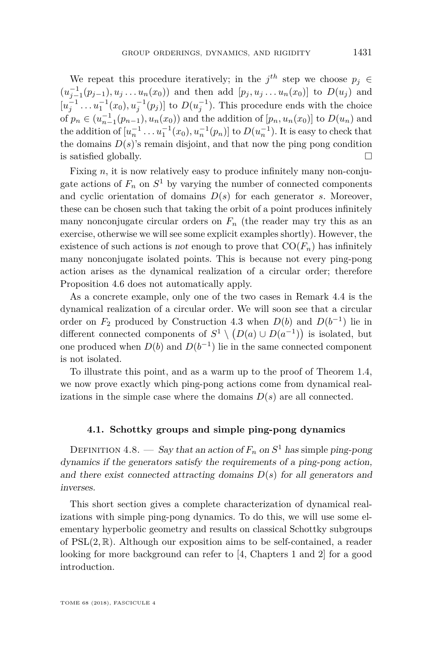We repeat this procedure iteratively; in the  $j^{th}$  step we choose  $p_j \in$  $(u_{j-1}^{-1}(p_{j-1}), u_j \ldots u_n(x_0))$  and then add  $[p_j, u_j \ldots u_n(x_0)]$  to  $D(u_j)$  and  $[u_j^{-1} \dots u_1^{-1}(x_0), u_j^{-1}(p_j)]$  to  $D(u_j^{-1})$ . This procedure ends with the choice of  $p_n \in (u_{n-1}^{-1}(p_{n-1}), u_n(x_0))$  and the addition of  $[p_n, u_n(x_0)]$  to  $D(u_n)$  and the addition of  $[u_n^{-1} \dots u_1^{-1}(x_0), u_n^{-1}(p_n)]$  to  $D(u_n^{-1})$ . It is easy to check that the domains  $D(s)$ 's remain disjoint, and that now the ping pong condition is satisfied globally.  $\Box$ 

Fixing *n*, it is now relatively easy to produce infinitely many non-conjugate actions of  $F_n$  on  $S^1$  by varying the number of connected components and cyclic orientation of domains  $D(s)$  for each generator *s*. Moreover, these can be chosen such that taking the orbit of a point produces infinitely many nonconjugate circular orders on  $F_n$  (the reader may try this as an exercise, otherwise we will see some explicit examples shortly). However, the existence of such actions is not enough to prove that  $CO(F_n)$  has infinitely many nonconjugate isolated points. This is because not every ping-pong action arises as the dynamical realization of a circular order; therefore Proposition [4.6](#page-28-0) does not automatically apply.

As a concrete example, only one of the two cases in Remark [4.4](#page-28-1) is the dynamical realization of a circular order. We will soon see that a circular order on  $F_2$  produced by Construction [4.3](#page-28-2) when  $D(b)$  and  $D(b^{-1})$  lie in different connected components of  $S^1 \setminus (D(a) \cup D(a^{-1}))$  is isolated, but one produced when  $D(b)$  and  $D(b^{-1})$  lie in the same connected component is not isolated.

To illustrate this point, and as a warm up to the proof of Theorem [1.4,](#page-4-1) we now prove exactly which ping-pong actions come from dynamical realizations in the simple case where the domains  $D(s)$  are all connected.

#### **4.1. Schottky groups and simple ping-pong dynamics**

DEFINITION 4.8. — Say that an action of  $F_n$  on  $S^1$  has simple ping-pong dynamics if the generators satisfy the requirements of a ping-pong action, and there exist connected attracting domains  $D(s)$  for all generators and inverses.

This short section gives a complete characterization of dynamical realizations with simple ping-pong dynamics. To do this, we will use some elementary hyperbolic geometry and results on classical Schottky subgroups of PSL(2*,* R). Although our exposition aims to be self-contained, a reader looking for more background can refer to [\[4,](#page-46-11) Chapters 1 and 2] for a good introduction.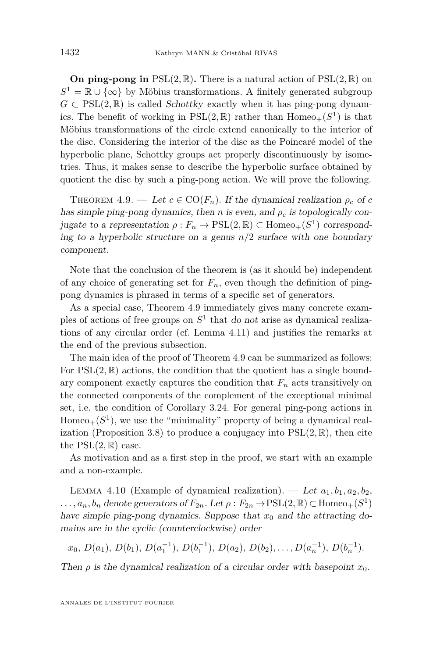**On ping-pong in**  $PSL(2,\mathbb{R})$ . There is a natural action of  $PSL(2,\mathbb{R})$  on  $S^1 = \mathbb{R} \cup \{\infty\}$  by Möbius transformations. A finitely generated subgroup  $G \subset \text{PSL}(2,\mathbb{R})$  is called Schottky exactly when it has ping-pong dynamics. The benefit of working in  $PSL(2, \mathbb{R})$  rather than  $Homeo_+(S^1)$  is that Möbius transformations of the circle extend canonically to the interior of the disc. Considering the interior of the disc as the Poincaré model of the hyperbolic plane, Schottky groups act properly discontinuously by isometries. Thus, it makes sense to describe the hyperbolic surface obtained by quotient the disc by such a ping-pong action. We will prove the following.

<span id="page-34-0"></span>THEOREM 4.9. — Let  $c \in \text{CO}(F_n)$ . If the dynamical realization  $\rho_c$  of c has simple ping-pong dynamics, then *n* is even, and  $\rho_c$  is topologically conjugate to a representation  $\rho : F_n \to \mathrm{PSL}(2, \mathbb{R}) \subset \mathrm{Homeo}_+(S^1)$  corresponding to a hyperbolic structure on a genus *n/*2 surface with one boundary component.

Note that the conclusion of the theorem is (as it should be) independent of any choice of generating set for  $F_n$ , even though the definition of pingpong dynamics is phrased in terms of a specific set of generators.

As a special case, Theorem [4.9](#page-34-0) immediately gives many concrete examples of actions of free groups on  $S<sup>1</sup>$  that do not arise as dynamical realizations of any circular order (cf. Lemma [4.11\)](#page-36-0) and justifies the remarks at the end of the previous subsection.

The main idea of the proof of Theorem [4.9](#page-34-0) can be summarized as follows: For  $PSL(2,\mathbb{R})$  actions, the condition that the quotient has a single boundary component exactly captures the condition that  $F_n$  acts transitively on the connected components of the complement of the exceptional minimal set, i.e. the condition of Corollary [3.24.](#page-24-1) For general ping-pong actions in  $Homeo_+(S^1)$ , we use the "minimality" property of being a dynamical real-ization (Proposition [3.8\)](#page-12-0) to produce a conjugacy into  $PSL(2,\mathbb{R})$ , then cite the  $PSL(2,\mathbb{R})$  case.

As motivation and as a first step in the proof, we start with an example and a non-example.

<span id="page-34-1"></span>LEMMA 4.10 (Example of dynamical realization). — Let  $a_1, b_1, a_2, b_2$ ,  $\ldots$ ,  $a_n$ ,  $b_n$  denote generators of  $F_{2n}$ . Let  $\rho : F_{2n} \to \text{PSL}(2, \mathbb{R}) \subset \text{Homeo}_+(S^1)$ have simple ping-pong dynamics. Suppose that  $x_0$  and the attracting domains are in the cyclic (counterclockwise) order

$$
x_0, D(a_1), D(b_1), D(a_1^{-1}), D(b_1^{-1}), D(a_2), D(b_2),..., D(a_n^{-1}), D(b_n^{-1}).
$$

Then  $\rho$  is the dynamical realization of a circular order with basepoint  $x_0$ .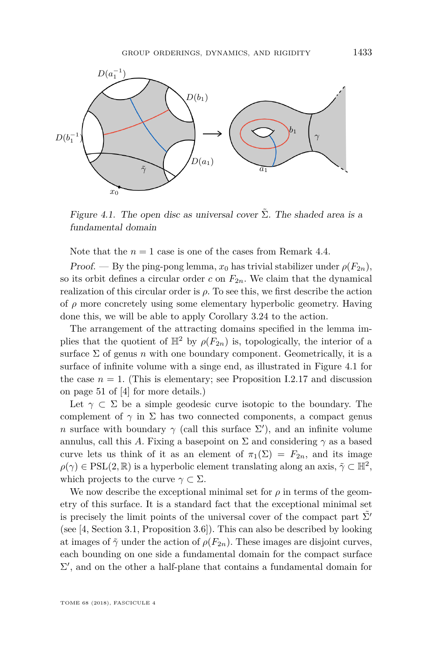

<span id="page-35-0"></span>Figure 4.1. The open disc as universal cover  $\tilde{\Sigma}$ . The shaded area is a fundamental domain

Note that the  $n = 1$  case is one of the cases from Remark [4.4.](#page-28-1)

Proof. — By the ping-pong lemma,  $x_0$  has trivial stabilizer under  $\rho(F_{2n})$ , so its orbit defines a circular order  $c$  on  $F_{2n}$ . We claim that the dynamical realization of this circular order is  $\rho$ . To see this, we first describe the action of *ρ* more concretely using some elementary hyperbolic geometry. Having done this, we will be able to apply Corollary [3.24](#page-24-1) to the action.

The arrangement of the attracting domains specified in the lemma implies that the quotient of  $\mathbb{H}^2$  by  $\rho(F_{2n})$  is, topologically, the interior of a surface  $\Sigma$  of genus *n* with one boundary component. Geometrically, it is a surface of infinite volume with a singe end, as illustrated in Figure [4.1](#page-35-0) for the case  $n = 1$ . (This is elementary; see Proposition I.2.17 and discussion on page 51 of [\[4\]](#page-46-11) for more details.)

Let  $\gamma \subset \Sigma$  be a simple geodesic curve isotopic to the boundary. The complement of  $\gamma$  in  $\Sigma$  has two connected components, a compact genus *n* surface with boundary  $\gamma$  (call this surface  $\Sigma'$ ), and an infinite volume annulus, call this *A*. Fixing a basepoint on  $\Sigma$  and considering  $\gamma$  as a based curve lets us think of it as an element of  $\pi_1(\Sigma) = F_{2n}$ , and its image  $\rho(\gamma) \in \text{PSL}(2, \mathbb{R})$  is a hyperbolic element translating along an axis,  $\tilde{\gamma} \subset \mathbb{H}^2$ , which projects to the curve  $\gamma \subset \Sigma$ .

We now describe the exceptional minimal set for  $\rho$  in terms of the geometry of this surface. It is a standard fact that the exceptional minimal set is precisely the limit points of the universal cover of the compact part  $\Sigma'$ (see [\[4,](#page-46-11) Section 3.1, Proposition 3.6]). This can also be described by looking at images of  $\tilde{\gamma}$  under the action of  $\rho(F_{2n})$ . These images are disjoint curves, each bounding on one side a fundamental domain for the compact surface  $\Sigma'$ , and on the other a half-plane that contains a fundamental domain for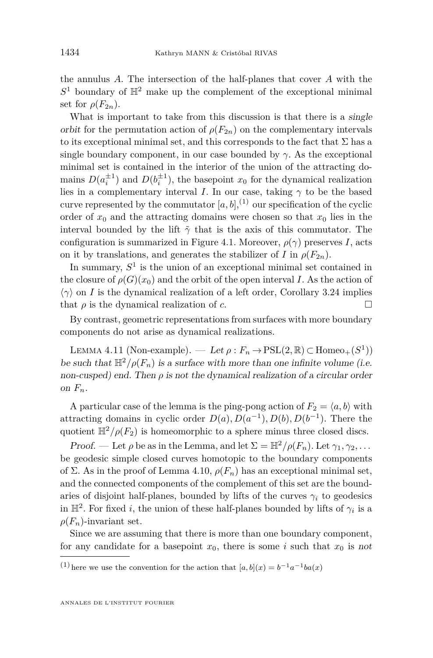the annulus *A*. The intersection of the half-planes that cover *A* with the  $S<sup>1</sup>$  boundary of  $\mathbb{H}<sup>2</sup>$  make up the complement of the exceptional minimal set for  $\rho(F_{2n})$ .

What is important to take from this discussion is that there is a *single* orbit for the permutation action of  $\rho(F_{2n})$  on the complementary intervals to its exceptional minimal set, and this corresponds to the fact that  $\Sigma$  has a single boundary component, in our case bounded by  $\gamma$ . As the exceptional minimal set is contained in the interior of the union of the attracting domains  $D(a_i^{\pm 1})$  and  $D(b_i^{\pm 1})$ , the basepoint  $x_0$  for the dynamical realization lies in a complementary interval *I*. In our case, taking  $\gamma$  to be the based curve represented by the commutator  $[a, b]$ , <sup>(1)</sup> our specification of the cyclic order of  $x_0$  and the attracting domains were chosen so that  $x_0$  lies in the interval bounded by the lift  $\tilde{\gamma}$  that is the axis of this commutator. The configuration is summarized in Figure [4.1.](#page-35-0) Moreover,  $\rho(\gamma)$  preserves *I*, acts on it by translations, and generates the stabilizer of *I* in  $\rho(F_{2n})$ .

In summary,  $S<sup>1</sup>$  is the union of an exceptional minimal set contained in the closure of  $\rho(G)(x_0)$  and the orbit of the open interval *I*. As the action of  $\langle \gamma \rangle$  on *I* is the dynamical realization of a left order, Corollary [3.24](#page-24-1) implies that  $\rho$  is the dynamical realization of *c*.

By contrast, geometric representations from surfaces with more boundary components do not arise as dynamical realizations.

<span id="page-36-0"></span>LEMMA 4.11 (Non-example). — Let  $\rho : F_n \to \mathrm{PSL}(2, \mathbb{R}) \subset \mathrm{Homeo}_+(S^1)$ ) be such that  $\mathbb{H}^2/\rho(F_n)$  is a surface with more than one infinite volume (i.e. non-cusped) end. Then  $\rho$  is not the dynamical realization of a circular order on  $F_n$ .

A particular case of the lemma is the ping-pong action of  $F_2 = \langle a, b \rangle$  with attracting domains in cyclic order  $D(a)$ ,  $D(a^{-1})$ ,  $D(b)$ ,  $D(b^{-1})$ . There the quotient  $\mathbb{H}^2/\rho(F_2)$  is homeomorphic to a sphere minus three closed discs.

Proof. — Let  $\rho$  be as in the Lemma, and let  $\Sigma = \mathbb{H}^2/\rho(F_n)$ . Let  $\gamma_1, \gamma_2, \ldots$ be geodesic simple closed curves homotopic to the boundary components of Σ. As in the proof of Lemma [4.10,](#page-34-1)  $\rho(F_n)$  has an exceptional minimal set, and the connected components of the complement of this set are the boundaries of disjoint half-planes, bounded by lifts of the curves  $\gamma_i$  to geodesics in  $\mathbb{H}^2$ . For fixed *i*, the union of these half-planes bounded by lifts of  $\gamma_i$  is a  $\rho(F_n)$ -invariant set.

Since we are assuming that there is more than one boundary component, for any candidate for a basepoint  $x_0$ , there is some *i* such that  $x_0$  is not

<sup>(1)</sup> here we use the convention for the action that  $[a, b](x) = b^{-1}a^{-1}ba(x)$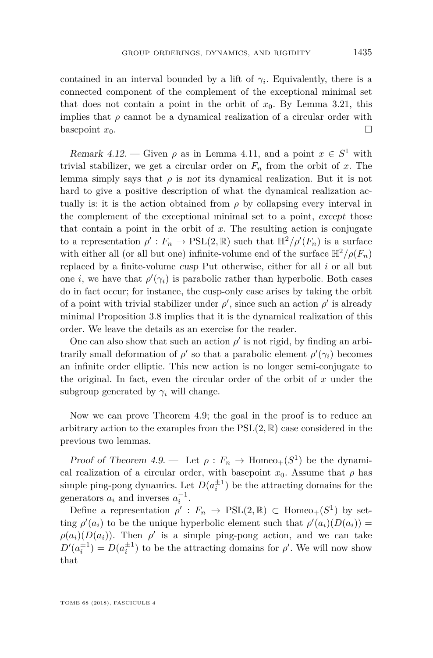contained in an interval bounded by a lift of  $\gamma_i$ . Equivalently, there is a connected component of the complement of the exceptional minimal set that does not contain a point in the orbit of  $x_0$ . By Lemma [3.21,](#page-21-0) this implies that  $\rho$  cannot be a dynamical realization of a circular order with basepoint  $x_0$ .

Remark 4.12. — Given  $\rho$  as in Lemma [4.11,](#page-36-0) and a point  $x \in S^1$  with trivial stabilizer, we get a circular order on  $F_n$  from the orbit of  $x$ . The lemma simply says that  $\rho$  is not its dynamical realization. But it is not hard to give a positive description of what the dynamical realization actually is: it is the action obtained from  $\rho$  by collapsing every interval in the complement of the exceptional minimal set to a point, except those that contain a point in the orbit of  $x$ . The resulting action is conjugate to a representation  $\rho': F_n \to \text{PSL}(2, \mathbb{R})$  such that  $\mathbb{H}^2/\rho'(F_n)$  is a surface with either all (or all but one) infinite-volume end of the surface  $\mathbb{H}^2/\rho(F_n)$ replaced by a finite-volume cusp Put otherwise, either for all *i* or all but one *i*, we have that  $\rho'(\gamma_i)$  is parabolic rather than hyperbolic. Both cases do in fact occur; for instance, the cusp-only case arises by taking the orbit of a point with trivial stabilizer under  $\rho'$ , since such an action  $\rho'$  is already minimal Proposition [3.8](#page-12-0) implies that it is the dynamical realization of this order. We leave the details as an exercise for the reader.

One can also show that such an action  $\rho'$  is not rigid, by finding an arbitrarily small deformation of  $\rho'$  so that a parabolic element  $\rho'(\gamma_i)$  becomes an infinite order elliptic. This new action is no longer semi-conjugate to the original. In fact, even the circular order of the orbit of *x* under the subgroup generated by  $\gamma_i$  will change.

Now we can prove Theorem [4.9;](#page-34-0) the goal in the proof is to reduce an arbitrary action to the examples from the  $PSL(2,\mathbb{R})$  case considered in the previous two lemmas.

Proof of Theorem [4.9.](#page-34-0) — Let  $\rho : F_n \to \text{Homeo}_+(S^1)$  be the dynamical realization of a circular order, with basepoint  $x_0$ . Assume that  $\rho$  has simple ping-pong dynamics. Let  $D(a_i^{\pm 1})$  be the attracting domains for the generators  $a_i$  and inverses  $a_i^{-1}$ .

Define a representation  $\rho' : F_n \to \text{PSL}(2, \mathbb{R}) \subset \text{Homeo}_+(S^1)$  by setting  $\rho'(a_i)$  to be the unique hyperbolic element such that  $\rho'(a_i)(D(a_i)) =$  $\rho(a_i)(D(a_i))$ . Then  $\rho'$  is a simple ping-pong action, and we can take  $D'(a_i^{\pm 1}) = D(a_i^{\pm 1})$  to be the attracting domains for *ρ*'. We will now show that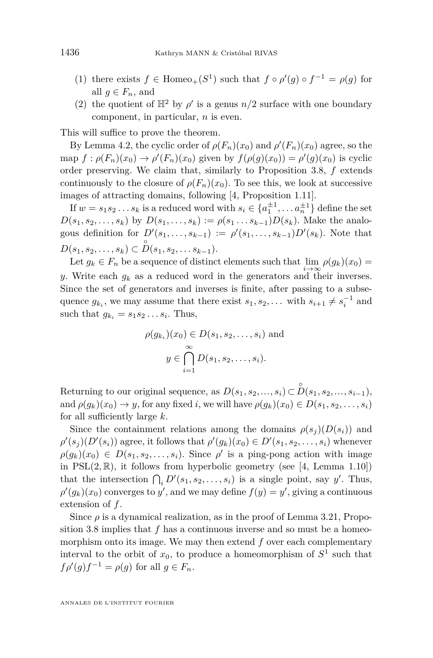- (1) there exists  $f \in \text{Homeo}_+(S^1)$  such that  $f \circ \rho'(g) \circ f^{-1} = \rho(g)$  for all  $q \in F_n$ , and
- <span id="page-38-0"></span>(2) the quotient of  $\mathbb{H}^2$  by  $\rho'$  is a genus  $n/2$  surface with one boundary component, in particular, *n* is even.

This will suffice to prove the theorem.

By Lemma [4.2,](#page-27-0) the cyclic order of  $\rho(F_n)(x_0)$  and  $\rho'(F_n)(x_0)$  agree, so the map  $f : \rho(F_n)(x_0) \to \rho'(F_n)(x_0)$  given by  $f(\rho(g)(x_0)) = \rho'(g)(x_0)$  is cyclic order preserving. We claim that, similarly to Proposition [3.8,](#page-12-0) *f* extends continuously to the closure of  $\rho(F_n)(x_0)$ . To see this, we look at successive images of attracting domains, following [\[4,](#page-46-11) Proposition 1.11].

If  $w = s_1 s_2 \dots s_k$  is a reduced word with  $s_i \in \{a_1^{\pm 1}, \dots a_n^{\pm 1}\}\$  define the set  $D(s_1, s_2, \ldots, s_k)$  by  $D(s_1, \ldots, s_k) := \rho(s_1 \ldots s_{k-1}) D(s_k)$ . Make the analogous definition for  $D'(s_1, \ldots, s_{k-1}) := \rho'(s_1, \ldots, s_{k-1})D'(s_k)$ . Note that  $D(s_1, s_2, \ldots, s_k) \subset \overset{\circ}{D}(s_1, s_2, \ldots s_{k-1}).$ 

Let  $g_k \in F_n$  be a sequence of distinct elements such that  $\lim_{n \to \infty} \rho(g_k)(x_0) =$ *y*. Write each  $g_k$  as a reduced word in the generators and their inverses. Since the set of generators and inverses is finite, after passing to a subsequence  $g_{k_i}$ , we may assume that there exist  $s_1, s_2, \ldots$  with  $s_{i+1} \neq s_i^{-1}$  and such that  $g_{k_i} = s_1 s_2 \dots s_i$ . Thus,

$$
\rho(g_{k_i})(x_0) \in D(s_1, s_2, \dots, s_i) \text{ and}
$$

$$
y \in \bigcap_{i=1}^{\infty} D(s_1, s_2, \dots, s_i).
$$

Returning to our original sequence, as  $D(s_1, s_2, ..., s_i) \subset \overset{\circ}{D}(s_1, s_2, ..., s_{i-1}),$ and  $\rho(g_k)(x_0) \to y$ , for any fixed *i*, we will have  $\rho(g_k)(x_0) \in D(s_1, s_2, \ldots, s_i)$ for all sufficiently large *k*.

Since the containment relations among the domains  $\rho(s_i)(D(s_i))$  and  $\rho'(s_j)(D'(s_i))$  agree, it follows that  $\rho'(g_k)(x_0) \in D'(s_1, s_2, \ldots, s_i)$  whenever  $\rho(g_k)(x_0) \in D(s_1, s_2, \ldots, s_i)$ . Since  $\rho'$  is a ping-pong action with image in  $PSL(2,\mathbb{R})$ , it follows from hyperbolic geometry (see [\[4,](#page-46-11) Lemma 1.10]) that the intersection  $\bigcap_i D'(s_1, s_2, \ldots, s_i)$  is a single point, say *y*'. Thus,  $\rho'(g_k)(x_0)$  converges to *y*<sup> $\prime$ </sup>, and we may define  $f(y) = y'$ , giving a continuous extension of *f*.

Since  $\rho$  is a dynamical realization, as in the proof of Lemma [3.21,](#page-21-0) Proposition [3.8](#page-12-0) implies that *f* has a continuous inverse and so must be a homeomorphism onto its image. We may then extend *f* over each complementary interval to the orbit of  $x_0$ , to produce a homeomorphism of  $S^1$  such that  $f \rho'(g) f^{-1} = \rho(g)$  for all  $g \in F_n$ .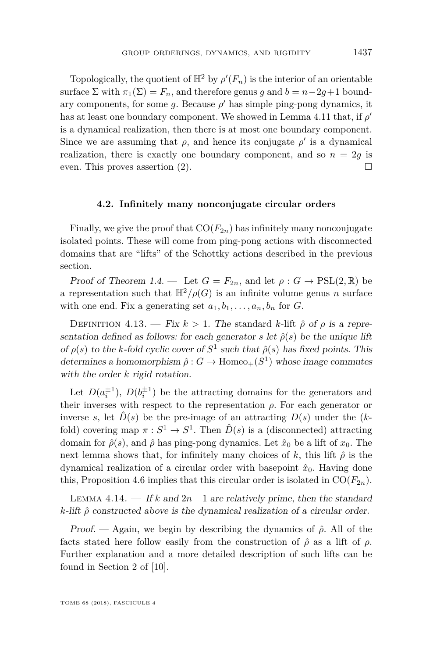Topologically, the quotient of  $\mathbb{H}^2$  by  $\rho'(F_n)$  is the interior of an orientable surface  $\Sigma$  with  $\pi_1(\Sigma) = F_n$ , and therefore genus *g* and  $b = n - 2g + 1$  boundary components, for some  $g$ . Because  $\rho'$  has simple ping-pong dynamics, it has at least one boundary component. We showed in Lemma [4.11](#page-36-0) that, if  $\rho'$ is a dynamical realization, then there is at most one boundary component. Since we are assuming that  $\rho$ , and hence its conjugate  $\rho'$  is a dynamical realization, there is exactly one boundary component, and so  $n = 2q$  is even. This proves assertion  $(2)$ .

#### **4.2. Infinitely many nonconjugate circular orders**

Finally, we give the proof that  $CO(F_{2n})$  has infinitely many nonconjugate isolated points. These will come from ping-pong actions with disconnected domains that are "lifts" of the Schottky actions described in the previous section.

Proof of Theorem [1.4.](#page-4-1) — Let  $G = F_{2n}$ , and let  $\rho : G \to \text{PSL}(2, \mathbb{R})$  be a representation such that  $\mathbb{H}^2/\rho(G)$  is an infinite volume genus *n* surface with one end. Fix a generating set  $a_1, b_1, \ldots, a_n, b_n$  for *G*.

DEFINITION 4.13. — Fix  $k > 1$ . The standard *k*-lift  $\hat{\rho}$  of  $\rho$  is a representation defined as follows: for each generator *s* let  $\hat{\rho}(s)$  be the unique lift of  $\rho(s)$  to the *k*-fold cyclic cover of  $S^1$  such that  $\hat{\rho}(s)$  has fixed points. This determines a homomorphism  $\hat{\rho}: G \to \text{Homeo}_+(S^1)$  whose image commutes with the order *k* rigid rotation.

Let  $D(a_i^{\pm 1})$ ,  $D(b_i^{\pm 1})$  be the attracting domains for the generators and their inverses with respect to the representation  $\rho$ . For each generator or inverse *s*, let  $\hat{D}(s)$  be the pre-image of an attracting  $D(s)$  under the  $(k$ fold) covering map  $\pi : S^1 \to S^1$ . Then  $\hat{D}(s)$  is a (disconnected) attracting domain for  $\hat{\rho}(s)$ , and  $\hat{\rho}$  has ping-pong dynamics. Let  $\hat{x}_0$  be a lift of  $x_0$ . The next lemma shows that, for infinitely many choices of  $k$ , this lift  $\hat{\rho}$  is the dynamical realization of a circular order with basepoint  $\hat{x}_0$ . Having done this, Proposition [4.6](#page-28-0) implies that this circular order is isolated in  $CO(F_{2n})$ .

LEMMA 4.14. — If k and  $2n-1$  are relatively prime, then the standard *k*-lift *ρ*ˆ constructed above is the dynamical realization of a circular order.

Proof. — Again, we begin by describing the dynamics of  $\hat{\rho}$ . All of the facts stated here follow easily from the construction of  $\hat{\rho}$  as a lift of  $\rho$ . Further explanation and a more detailed description of such lifts can be found in Section 2 of [\[10\]](#page-46-12).

TOME 68 (2018), FASCICULE 4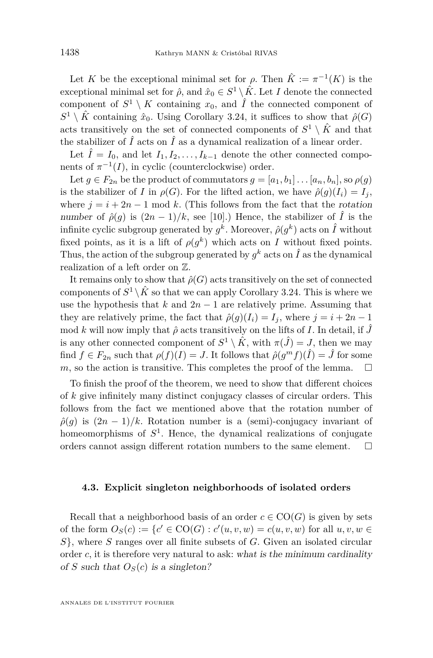Let *K* be the exceptional minimal set for  $\rho$ . Then  $\hat{K} := \pi^{-1}(K)$  is the exceptional minimal set for  $\hat{\rho}$ , and  $\hat{x}_0 \in S^1 \setminus \hat{K}$ . Let *I* denote the connected component of  $S^1 \setminus K$  containing  $x_0$ , and  $\hat{I}$  the connected component of  $S^1 \setminus \hat{K}$  containing  $\hat{x}_0$ . Using Corollary [3.24,](#page-24-1) it suffices to show that  $\hat{\rho}(G)$ acts transitively on the set of connected components of  $S^1 \setminus \hat{K}$  and that the stabilizer of  $\hat{I}$  acts on  $\hat{I}$  as a dynamical realization of a linear order.

Let  $\hat{I} = I_0$ , and let  $I_1, I_2, \ldots, I_{k-1}$  denote the other connected components of  $\pi^{-1}(I)$ , in cyclic (counterclockwise) order.

Let  $g \in F_{2n}$  be the product of commutators  $g = [a_1, b_1] \dots [a_n, b_n]$ , so  $\rho(g)$ is the stabilizer of *I* in  $\rho(G)$ . For the lifted action, we have  $\hat{\rho}(q)(I_i) = I_i$ , where  $j = i + 2n - 1$  mod *k*. (This follows from the fact that the rotation number of  $\hat{\rho}(g)$  is  $(2n-1)/k$ , see [\[10\]](#page-46-12).) Hence, the stabilizer of  $\hat{I}$  is the infinite cyclic subgroup generated by  $g^k$ . Moreover,  $\hat{\rho}(g^k)$  acts on  $\hat{I}$  without fixed points, as it is a lift of  $\rho(g^k)$  which acts on *I* without fixed points. Thus, the action of the subgroup generated by  $g^k$  acts on  $\hat{I}$  as the dynamical realization of a left order on Z.

It remains only to show that  $\hat{\rho}(G)$  acts transitively on the set of connected components of  $S^1 \setminus \hat{K}$  so that we can apply Corollary [3.24.](#page-24-1) This is where we use the hypothesis that  $k$  and  $2n-1$  are relatively prime. Assuming that they are relatively prime, the fact that  $\hat{\rho}(q)(I_i) = I_i$ , where  $j = i + 2n - 1$ mod *k* will now imply that  $\hat{\rho}$  acts transitively on the lifts of *I*. In detail, if  $\hat{J}$ is any other connected component of  $S^1 \setminus \hat{K}$ , with  $\pi(\hat{J}) = J$ , then we may find  $f \in F_{2n}$  such that  $\rho(f)(I) = J$ . It follows that  $\hat{\rho}(g^m f)(\hat{I}) = \hat{J}$  for some *m*, so the action is transitive. This completes the proof of the lemma.  $\Box$ 

To finish the proof of the theorem, we need to show that different choices of *k* give infinitely many distinct conjugacy classes of circular orders. This follows from the fact we mentioned above that the rotation number of  $\rho(q)$  is  $(2n-1)/k$ . Rotation number is a (semi)-conjugacy invariant of homeomorphisms of  $S^1$ . Hence, the dynamical realizations of conjugate orders cannot assign different rotation numbers to the same element.  $\Box$ 

#### <span id="page-40-0"></span>**4.3. Explicit singleton neighborhoods of isolated orders**

Recall that a neighborhood basis of an order  $c \in \text{CO}(G)$  is given by sets of the form  $O_S(c) := \{c' \in \text{CO}(G) : c'(u, v, w) = c(u, v, w) \text{ for all } u, v, w \in C\}$ *S*}, where *S* ranges over all finite subsets of *G*. Given an isolated circular order  $c$ , it is therefore very natural to ask: what is the minimum cardinality of *S* such that  $O_S(c)$  is a singleton?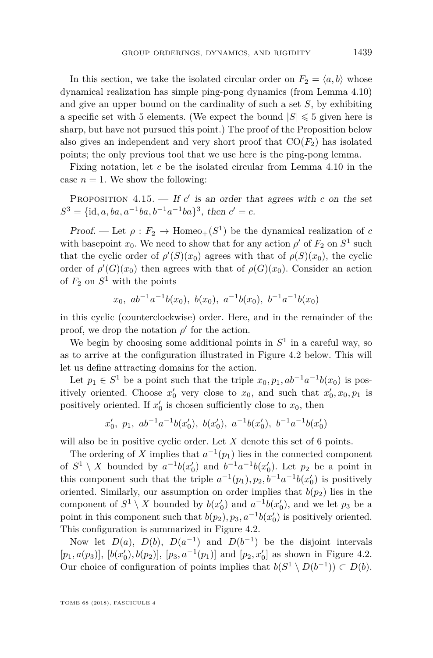In this section, we take the isolated circular order on  $F_2 = \langle a, b \rangle$  whose dynamical realization has simple ping-pong dynamics (from Lemma [4.10\)](#page-34-1) and give an upper bound on the cardinality of such a set *S*, by exhibiting a specific set with 5 elements. (We expect the bound  $|S| \leq 5$  given here is sharp, but have not pursued this point.) The proof of the Proposition below also gives an independent and very short proof that  $CO(F_2)$  has isolated points; the only previous tool that we use here is the ping-pong lemma.

Fixing notation, let *c* be the isolated circular from Lemma [4.10](#page-34-1) in the case  $n = 1$ . We show the following:

PROPOSITION 4.15.  $\frac{d}{dx}$  If *c*' is an order that agrees with *c* on the set  $S^3 = {\text{id}, a, ba, a^{-1}ba, b^{-1}a^{-1}ba}$ , then  $c' = c$ .

Proof. — Let  $\rho: F_2 \to \text{Homeo}_+(S^1)$  be the dynamical realization of *c* with basepoint  $x_0$ . We need to show that for any action  $\rho'$  of  $F_2$  on  $S^1$  such that the cyclic order of  $\rho'(S)(x_0)$  agrees with that of  $\rho(S)(x_0)$ , the cyclic order of  $\rho'(G)(x_0)$  then agrees with that of  $\rho(G)(x_0)$ . Consider an action of  $F_2$  on  $S^1$  with the points

$$
x_0
$$
,  $ab^{-1}a^{-1}b(x_0)$ ,  $b(x_0)$ ,  $a^{-1}b(x_0)$ ,  $b^{-1}a^{-1}b(x_0)$ 

in this cyclic (counterclockwise) order. Here, and in the remainder of the proof, we drop the notation  $\rho'$  for the action.

We begin by choosing some additional points in  $S<sup>1</sup>$  in a careful way, so as to arrive at the configuration illustrated in Figure [4.2](#page-42-1) below. This will let us define attracting domains for the action.

Let  $p_1 \in S^1$  be a point such that the triple  $x_0, p_1, ab^{-1}a^{-1}b(x_0)$  is positively oriented. Choose  $x'_0$  very close to  $x_0$ , and such that  $x'_0, x_0, p_1$  is positively oriented. If  $x_0$  is chosen sufficiently close to  $x_0$ , then

$$
x'_0
$$
,  $p_1$ ,  $ab^{-1}a^{-1}b(x'_0)$ ,  $b(x'_0)$ ,  $a^{-1}b(x'_0)$ ,  $b^{-1}a^{-1}b(x'_0)$ 

will also be in positive cyclic order. Let *X* denote this set of 6 points.

The ordering of *X* implies that  $a^{-1}(p_1)$  lies in the connected component of  $S^1 \setminus X$  bounded by  $a^{-1}b(x_0')$  and  $b^{-1}a^{-1}b(x_0')$ . Let  $p_2$  be a point in this component such that the triple  $a^{-1}(p_1), p_2, b^{-1}a^{-1}b(x_0)$  is positively oriented. Similarly, our assumption on order implies that  $b(p_2)$  lies in the component of  $S^1 \setminus X$  bounded by  $b(x_0')$  and  $a^{-1}b(x_0')$ , and we let  $p_3$  be a point in this component such that  $b(p_2), p_3, a^{-1}b(x_0)$  is positively oriented. This configuration is summarized in Figure [4.2.](#page-42-1)

Now let  $D(a)$ ,  $D(b)$ ,  $D(a^{-1})$  and  $D(b^{-1})$  be the disjoint intervals  $[p_1, a(p_3)]$ ,  $[b(x'_0), b(p_2)]$ ,  $[p_3, a^{-1}(p_1)]$  and  $[p_2, x'_0]$  as shown in Figure [4.2.](#page-42-1) Our choice of configuration of points implies that  $b(S^1 \setminus D(b^{-1})) \subset D(b)$ .

TOME 68 (2018), FASCICULE 4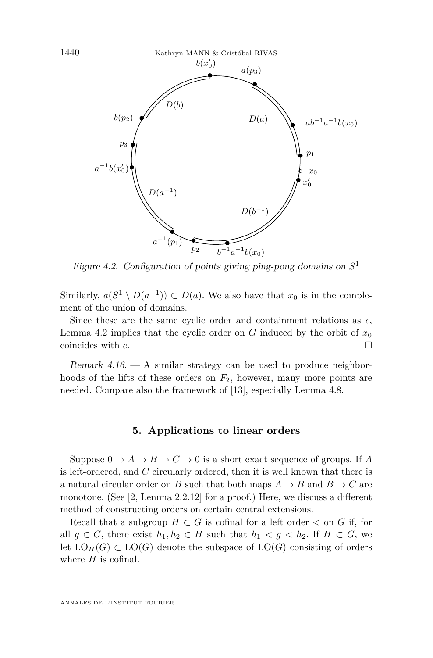

<span id="page-42-1"></span>Figure 4.2. Configuration of points giving ping-pong domains on *S* 1

Similarly,  $a(S^1 \setminus D(a^{-1})) \subset D(a)$ . We also have that  $x_0$  is in the complement of the union of domains.

Since these are the same cyclic order and containment relations as *c*, Lemma [4.2](#page-27-0) implies that the cyclic order on *G* induced by the orbit of  $x_0$ coincides with *c*.

Remark  $4.16.$  – A similar strategy can be used to produce neighborhoods of the lifts of these orders on *F*2, however, many more points are needed. Compare also the framework of [\[13\]](#page-46-13), especially Lemma 4.8.

#### **5. Applications to linear orders**

<span id="page-42-0"></span>Suppose  $0 \to A \to B \to C \to 0$  is a short exact sequence of groups. If A is left-ordered, and *C* circularly ordered, then it is well known that there is a natural circular order on *B* such that both maps  $A \rightarrow B$  and  $B \rightarrow C$  are monotone. (See [\[2,](#page-46-4) Lemma 2.2.12] for a proof.) Here, we discuss a different method of constructing orders on certain central extensions.

Recall that a subgroup  $H \subset G$  is cofinal for a left order  $\lt$  on  $G$  if, for all  $g \in G$ , there exist  $h_1, h_2 \in H$  such that  $h_1 < g < h_2$ . If  $H \subset G$ , we let  $LO_H(G) \subset LO(G)$  denote the subspace of  $LO(G)$  consisting of orders where *H* is cofinal.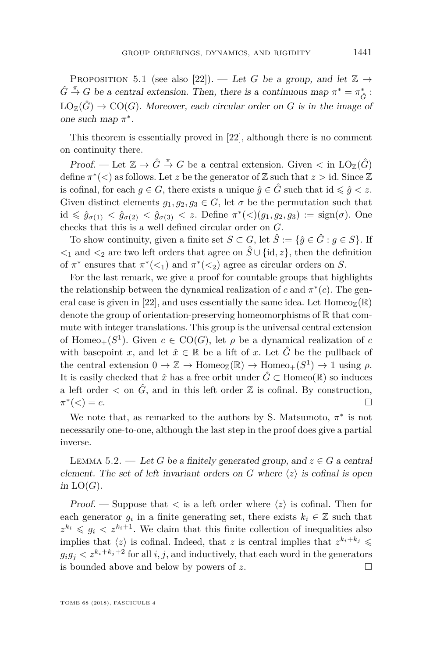<span id="page-43-1"></span>PROPOSITION 5.1 (see also [\[22\]](#page-47-6)). — Let G be a group, and let  $\mathbb{Z} \rightarrow$  $\hat{G} \stackrel{\pi}{\rightarrow} G$  be a central extension. Then, there is a continuous map  $\pi^* = \pi_{\hat{G}}^*$ :  $LO_{\mathbb{Z}}(\hat{G}) \to \text{CO}(G)$ . Moreover, each circular order on *G* is in the image of one such map *π* ∗ .

This theorem is essentially proved in [\[22\]](#page-47-6), although there is no comment on continuity there.

Proof. — Let  $\mathbb{Z} \to \hat{G} \stackrel{\pi}{\to} G$  be a central extension. Given  $\lt$  in  $\text{LO}_{\mathbb{Z}}(\hat{G})$ define  $\pi^*(\leq)$  as follows. Let *z* be the generator of  $\mathbb Z$  such that  $z >$  id. Since  $\mathbb Z$ is cofinal, for each  $q \in G$ , there exists a unique  $\hat{q} \in \hat{G}$  such that id  $\leq \hat{q} \leq z$ . Given distinct elements  $g_1, g_2, g_3 \in G$ , let  $\sigma$  be the permutation such that  $id \le \hat{g}_{\sigma(1)} < \hat{g}_{\sigma(2)} < \hat{g}_{\sigma(3)} < z$ . Define  $\pi^*(\le)(g_1, g_2, g_3) := sign(\sigma)$ . One checks that this is a well defined circular order on *G*.

To show continuity, given a finite set  $S \subset G$ , let  $\hat{S} := \{\hat{g} \in \hat{G} : g \in S\}$ . If  $\langle$ <sup>2</sup> and  $\langle$ <sup>2</sup> are two left orders that agree on  $\hat{S}$  ∪ {id, *z*}, then the definition of  $\pi^*$  ensures that  $\pi^*(\leq_1)$  and  $\pi^*(\leq_2)$  agree as circular orders on *S*.

For the last remark, we give a proof for countable groups that highlights the relationship between the dynamical realization of  $c$  and  $\pi^*(c)$ . The gen-eral case is given in [\[22\]](#page-47-6), and uses essentially the same idea. Let  $\text{Homeo}_\mathbb{Z}(\mathbb{R})$ denote the group of orientation-preserving homeomorphisms of  $\mathbb R$  that commute with integer translations. This group is the universal central extension of Homeo<sub>+</sub>( $S^1$ ). Given  $c \in \text{CO}(G)$ , let  $\rho$  be a dynamical realization of  $c$ with basepoint *x*, and let  $\hat{x} \in \mathbb{R}$  be a lift of *x*. Let  $\hat{G}$  be the pullback of the central extension  $0 \to \mathbb{Z} \to \text{Homeo}_{\mathbb{Z}}(\mathbb{R}) \to \text{Homeo}_{+}(S^1) \to 1$  using  $\rho$ . It is easily checked that  $\hat{x}$  has a free orbit under  $\hat{G} \subset$  Homeo( $\mathbb{R}$ ) so induces a left order  $\leq$  on  $\hat{G}$ , and in this left order  $\mathbb Z$  is cofinal. By construction, *π* ∗  $(<) = c.$ 

We note that, as remarked to the authors by S. Matsumoto,  $\pi^*$  is not necessarily one-to-one, although the last step in the proof does give a partial inverse.

<span id="page-43-0"></span>LEMMA 5.2. — Let G be a finitely generated group, and  $z \in G$  a central element. The set of left invariant orders on  $G$  where  $\langle z \rangle$  is cofinal is open in  $LO(G)$ .

Proof. — Suppose that  $\langle z \rangle$  is cofinal. Then for each generator  $g_i$  in a finite generating set, there exists  $k_i \in \mathbb{Z}$  such that  $z^{k_i} \leqslant g_i \leqslant z^{k_i+1}$ . We claim that this finite collection of inequalities also implies that  $\langle z \rangle$  is cofinal. Indeed, that *z* is central implies that  $z^{k_i+k_j} \leq$  $g_i g_j < z^{k_i+k_j+2}$  for all *i, j*, and inductively, that each word in the generators is bounded above and below by powers of  $z$ .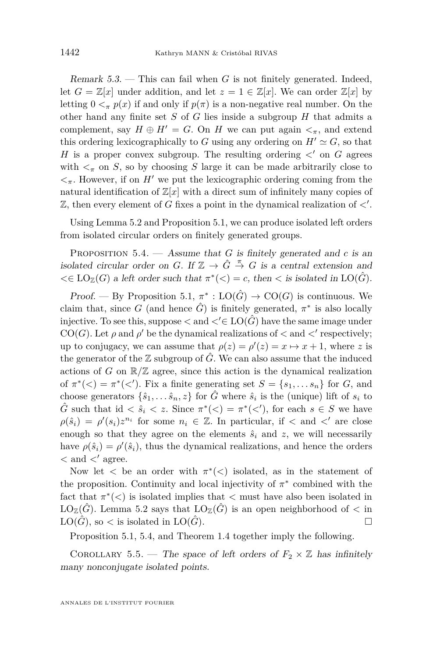Remark 5.3. — This can fail when *G* is not finitely generated. Indeed, let  $G = \mathbb{Z}[x]$  under addition, and let  $z = 1 \in \mathbb{Z}[x]$ . We can order  $\mathbb{Z}[x]$  by letting  $0 \leq_{\pi} p(x)$  if and only if  $p(\pi)$  is a non-negative real number. On the other hand any finite set *S* of *G* lies inside a subgroup *H* that admits a complement, say  $H \oplus H' = G$ . On *H* we can put again  $\lt_{\pi}$ , and extend this ordering lexicographically to *G* using any ordering on  $H' \simeq G$ , so that *H* is a proper convex subgroup. The resulting ordering  $\langle$  on *G* agrees with  $\lt_{\pi}$  on *S*, so by choosing *S* large it can be made arbitrarily close to  $\langle \cdot \rangle$ <sub>π</sub>. However, if on *H*<sup> $\prime$ </sup> we put the lexicographic ordering coming from the natural identification of  $\mathbb{Z}[x]$  with a direct sum of infinitely many copies of  $\mathbb{Z}$ , then every element of *G* fixes a point in the dynamical realization of  $\lt'$ .

Using Lemma [5.2](#page-43-0) and Proposition [5.1,](#page-43-1) we can produce isolated left orders from isolated circular orders on finitely generated groups.

<span id="page-44-0"></span>PROPOSITION  $5.4.$  — Assume that *G* is finitely generated and *c* is an isolated circular order on *G*. If  $\mathbb{Z} \to \hat{G} \stackrel{\pi}{\to} G$  is a central extension and  $\lt \in$  LO<sub> $\mathbb{Z}(G)$  a left order such that  $\pi^*(\lt) = c$ , then  $\lt$  is isolated in LO( $\hat{G}$ ).</sub>

Proof. — By Proposition [5.1,](#page-43-1)  $\pi^* : LO(\hat{G}) \to CO(G)$  is continuous. We claim that, since *G* (and hence  $\hat{G}$ ) is finitely generated,  $\pi^*$  is also locally injective. To see this, suppose  $\langle$  and  $\langle \xi |$  LO( $\hat{G}$ ) have the same image under  $CO(G)$ . Let  $\rho$  and  $\rho'$  be the dynamical realizations of  $\langle$  and  $\langle$ ' respectively; up to conjugacy, we can assume that  $\rho(z) = \rho'(z) = x \mapsto x + 1$ , where *z* is the generator of the  $\mathbb Z$  subgroup of  $\hat G$ . We can also assume that the induced actions of *G* on  $\mathbb{R}/\mathbb{Z}$  agree, since this action is the dynamical realization of  $\pi^*(\leq) = \pi^*(\leq')$ . Fix a finite generating set  $S = \{s_1, \ldots s_n\}$  for *G*, and choose generators  $\{\hat{s}_1, \ldots, \hat{s}_n, z\}$  for  $\hat{G}$  where  $\hat{s}_i$  is the (unique) lift of  $s_i$  to  $\hat{G}$  such that id  $\langle \hat{s}_i \rangle \langle z \rangle$ . Since  $\pi^*(\langle \rangle) = \pi^*(\langle \rangle)$ , for each  $s \in S$  we have  $\rho(\hat{s}_i) = \rho'(s_i)z^{n_i}$  for some  $n_i \in \mathbb{Z}$ . In particular, if  $\langle$  and  $\langle$ <sup>*i*</sup> are close enough so that they agree on the elements  $\hat{s}_i$  and  $z$ , we will necessarily have  $\rho(\hat{s}_i) = \rho'(\hat{s}_i)$ , thus the dynamical realizations, and hence the orders  $<$  and  $<'$  agree.

Now let  $\lt$  be an order with  $\pi^*(\lt)$  isolated, as in the statement of the proposition. Continuity and local injectivity of  $\pi$ <sup>\*</sup> combined with the fact that  $\pi^*(\leq)$  is isolated implies that  $\leq$  must have also been isolated in  $\mathrm{LO}_{\mathbb{Z}}(\hat{G})$ . Lemma [5.2](#page-43-0) says that  $\mathrm{LO}_{\mathbb{Z}}(\hat{G})$  is an open neighborhood of  $\lt$  in  $LO(\hat{G})$ , so  $\lt$  is isolated in  $LO(\hat{G})$ .

Proposition [5.1,](#page-43-1) [5.4,](#page-44-0) and Theorem [1.4](#page-4-1) together imply the following.

COROLLARY 5.5. — The space of left orders of  $F_2 \times \mathbb{Z}$  has infinitely many nonconjugate isolated points.

ANNALES DE L'INSTITUT FOURIER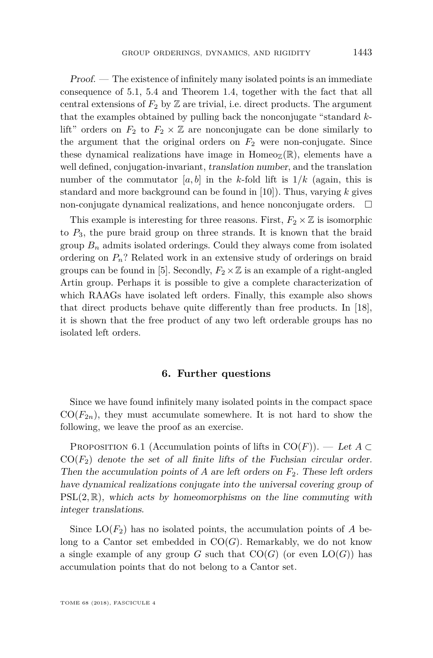Proof. — The existence of infinitely many isolated points is an immediate consequence of [5.1,](#page-43-1) [5.4](#page-44-0) and Theorem [1.4,](#page-4-1) together with the fact that all central extensions of  $F_2$  by  $\mathbb Z$  are trivial, i.e. direct products. The argument that the examples obtained by pulling back the nonconjugate "standard *k*lift" orders on  $F_2$  to  $F_2 \times \mathbb{Z}$  are nonconjugate can be done similarly to the argument that the original orders on  $F_2$  were non-conjugate. Since these dynamical realizations have image in Homeo<sub>Z</sub>( $\mathbb{R}$ ), elements have a well defined, conjugation-invariant, translation number, and the translation number of the commutator  $[a, b]$  in the *k*-fold lift is  $1/k$  (again, this is standard and more background can be found in [\[10\]](#page-46-12)). Thus, varying *k* gives non-conjugate dynamical realizations, and hence nonconjugate orders.  $\Box$ 

This example is interesting for three reasons. First,  $F_2 \times \mathbb{Z}$  is isomorphic to *P*3, the pure braid group on three strands. It is known that the braid group  $B_n$  admits isolated orderings. Could they always come from isolated ordering on *Pn*? Related work in an extensive study of orderings on braid groups can be found in [\[5\]](#page-46-14). Secondly,  $F_2 \times \mathbb{Z}$  is an example of a right-angled Artin group. Perhaps it is possible to give a complete characterization of which RAAGs have isolated left orders. Finally, this example also shows that direct products behave quite differently than free products. In [\[18\]](#page-47-1), it is shown that the free product of any two left orderable groups has no isolated left orders.

#### **6. Further questions**

<span id="page-45-0"></span>Since we have found infinitely many isolated points in the compact space  $CO(F_{2n})$ , they must accumulate somewhere. It is not hard to show the following, we leave the proof as an exercise.

PROPOSITION 6.1 (Accumulation points of lifts in  $CO(F)$ ). — Let  $A \subset$  $CO(F_2)$  denote the set of all finite lifts of the Fuchsian circular order. Then the accumulation points of  $A$  are left orders on  $F_2$ . These left orders have dynamical realizations conjugate into the universal covering group of  $PSL(2,\mathbb{R})$ , which acts by homeomorphisms on the line commuting with integer translations.

Since  $LO(F_2)$  has no isolated points, the accumulation points of *A* belong to a Cantor set embedded in  $CO(G)$ . Remarkably, we do not know a single example of any group *G* such that  $CO(G)$  (or even  $LO(G)$ ) has accumulation points that do not belong to a Cantor set.

TOME 68 (2018), FASCICULE 4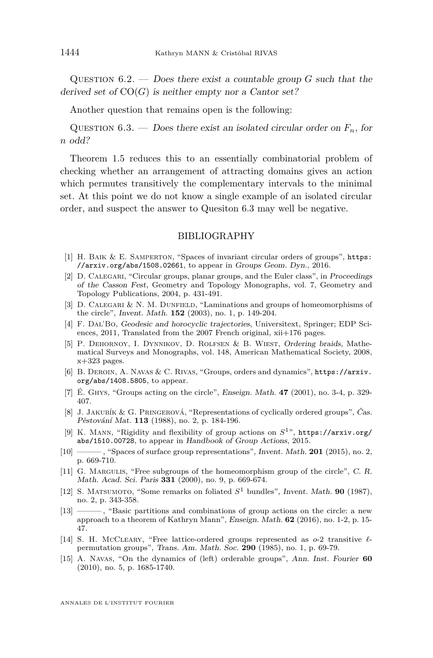Question 6.2. — Does there exist a countable group *G* such that the derived set of  $CO(G)$  is neither empty nor a Cantor set?

Another question that remains open is the following:

<span id="page-46-15"></span>QUESTION 6.3. — Does there exist an isolated circular order on  $F_n$ , for *n* odd?

Theorem [1.5](#page-4-0) reduces this to an essentially combinatorial problem of checking whether an arrangement of attracting domains gives an action which permutes transitively the complementary intervals to the minimal set. At this point we do not know a single example of an isolated circular order, and suspect the answer to Quesiton [6.3](#page-46-15) may well be negative.

#### BIBLIOGRAPHY

- <span id="page-46-3"></span>[1] H. Baik & E. Samperton, "Spaces of invariant circular orders of groups", [https:](https://arxiv.org/abs/1508.02661) [//arxiv.org/abs/1508.02661](https://arxiv.org/abs/1508.02661), to appear in Groups Geom. Dyn., 2016.
- <span id="page-46-4"></span>[2] D. CALEGARI, "Circular groups, planar groups, and the Euler class", in Proceedings of the Casson Fest, Geometry and Topology Monographs, vol. 7, Geometry and Topology Publications, 2004, p. 431-491.
- <span id="page-46-0"></span>[3] D. Calegari & N. M. Dunfield, "Laminations and groups of homeomorphisms of the circle", Invent. Math. **152** (2003), no. 1, p. 149-204.
- <span id="page-46-11"></span>[4] F. Dal'Bo, Geodesic and horocyclic trajectories, Universitext, Springer; EDP Sciences, 2011, Translated from the 2007 French original, xii+176 pages.
- <span id="page-46-14"></span>[5] P. Dehornoy, I. Dynnikov, D. Rolfsen & B. Wiest, Ordering braids, Mathematical Surveys and Monographs, vol. 148, American Mathematical Society, 2008,  $x+323$  pages.
- <span id="page-46-5"></span>[6] B. Deroin, A. Navas & C. Rivas, "Groups, orders and dynamics", [https://arxiv.](https://arxiv.org/abs/1408.5805) [org/abs/1408.5805](https://arxiv.org/abs/1408.5805), to appear.
- <span id="page-46-6"></span>[7] É. Ghys, "Groups acting on the circle", Enseign. Math. **47** (2001), no. 3-4, p. 329- 407.
- <span id="page-46-8"></span>[8] J. Jakubík & G. Pringerová, "Representations of cyclically ordered groups", Čas. Pěstování Mat. **113** (1988), no. 2, p. 184-196.
- <span id="page-46-7"></span>[9] K. Mann, "Rigidity and flexibility of group actions on *S* <sup>1</sup>", [https://arxiv.org/](https://arxiv.org/abs/1510.00728) [abs/1510.00728](https://arxiv.org/abs/1510.00728), to appear in Handbook of Group Actions, 2015.
- <span id="page-46-12"></span>[10] ——— , "Spaces of surface group representations", Invent. Math. **201** (2015), no. 2, p. 669-710.
- <span id="page-46-9"></span>[11] G. Margulis, "Free subgroups of the homeomorphism group of the circle", C. R. Math. Acad. Sci. Paris **331** (2000), no. 9, p. 669-674.
- <span id="page-46-10"></span>[12] S. MATSUMOTO, "Some remarks on foliated  $S^1$  bundles", Invent. Math. **90** (1987), no. 2, p. 343-358.
- <span id="page-46-13"></span>[13] ——— , "Basic partitions and combinations of group actions on the circle: a new approach to a theorem of Kathryn Mann", Enseign. Math. **62** (2016), no. 1-2, p. 15- 47.
- <span id="page-46-1"></span>[14] S. H. McCleary, "Free lattice-ordered groups represented as *o*-2 transitive *`* permutation groups", Trans. Am. Math. Soc. **290** (1985), no. 1, p. 69-79.
- <span id="page-46-2"></span>[15] A. Navas, "On the dynamics of (left) orderable groups", Ann. Inst. Fourier **60** (2010), no. 5, p. 1685-1740.